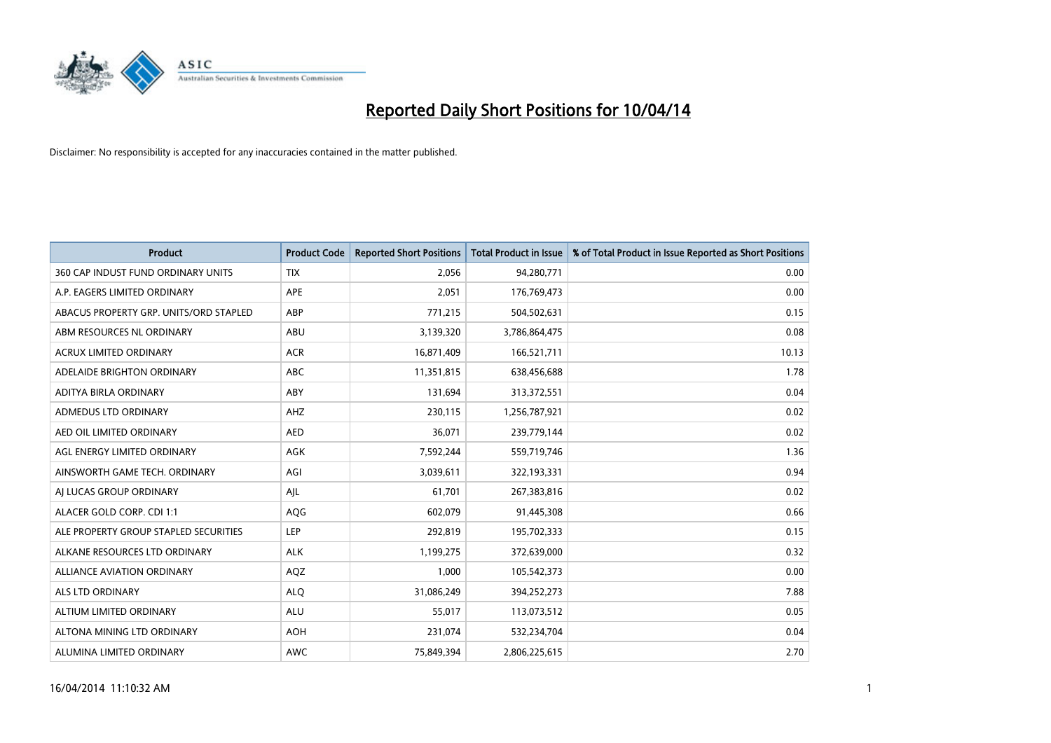

| <b>Product</b>                         | <b>Product Code</b> | <b>Reported Short Positions</b> | <b>Total Product in Issue</b> | % of Total Product in Issue Reported as Short Positions |
|----------------------------------------|---------------------|---------------------------------|-------------------------------|---------------------------------------------------------|
| 360 CAP INDUST FUND ORDINARY UNITS     | <b>TIX</b>          | 2,056                           | 94,280,771                    | 0.00                                                    |
| A.P. EAGERS LIMITED ORDINARY           | APE                 | 2,051                           | 176,769,473                   | 0.00                                                    |
| ABACUS PROPERTY GRP. UNITS/ORD STAPLED | ABP                 | 771,215                         | 504,502,631                   | 0.15                                                    |
| ABM RESOURCES NL ORDINARY              | ABU                 | 3,139,320                       | 3,786,864,475                 | 0.08                                                    |
| <b>ACRUX LIMITED ORDINARY</b>          | <b>ACR</b>          | 16,871,409                      | 166,521,711                   | 10.13                                                   |
| ADELAIDE BRIGHTON ORDINARY             | <b>ABC</b>          | 11,351,815                      | 638,456,688                   | 1.78                                                    |
| ADITYA BIRLA ORDINARY                  | ABY                 | 131,694                         | 313,372,551                   | 0.04                                                    |
| ADMEDUS LTD ORDINARY                   | AHZ                 | 230,115                         | 1,256,787,921                 | 0.02                                                    |
| AED OIL LIMITED ORDINARY               | <b>AED</b>          | 36,071                          | 239,779,144                   | 0.02                                                    |
| AGL ENERGY LIMITED ORDINARY            | <b>AGK</b>          | 7,592,244                       | 559,719,746                   | 1.36                                                    |
| AINSWORTH GAME TECH. ORDINARY          | AGI                 | 3,039,611                       | 322,193,331                   | 0.94                                                    |
| AI LUCAS GROUP ORDINARY                | AJL                 | 61,701                          | 267,383,816                   | 0.02                                                    |
| ALACER GOLD CORP. CDI 1:1              | AQG                 | 602,079                         | 91,445,308                    | 0.66                                                    |
| ALE PROPERTY GROUP STAPLED SECURITIES  | LEP                 | 292,819                         | 195,702,333                   | 0.15                                                    |
| ALKANE RESOURCES LTD ORDINARY          | <b>ALK</b>          | 1,199,275                       | 372,639,000                   | 0.32                                                    |
| ALLIANCE AVIATION ORDINARY             | AQZ                 | 1,000                           | 105,542,373                   | 0.00                                                    |
| ALS LTD ORDINARY                       | <b>ALQ</b>          | 31,086,249                      | 394,252,273                   | 7.88                                                    |
| ALTIUM LIMITED ORDINARY                | ALU                 | 55,017                          | 113,073,512                   | 0.05                                                    |
| ALTONA MINING LTD ORDINARY             | <b>AOH</b>          | 231,074                         | 532,234,704                   | 0.04                                                    |
| ALUMINA LIMITED ORDINARY               | AWC                 | 75,849,394                      | 2,806,225,615                 | 2.70                                                    |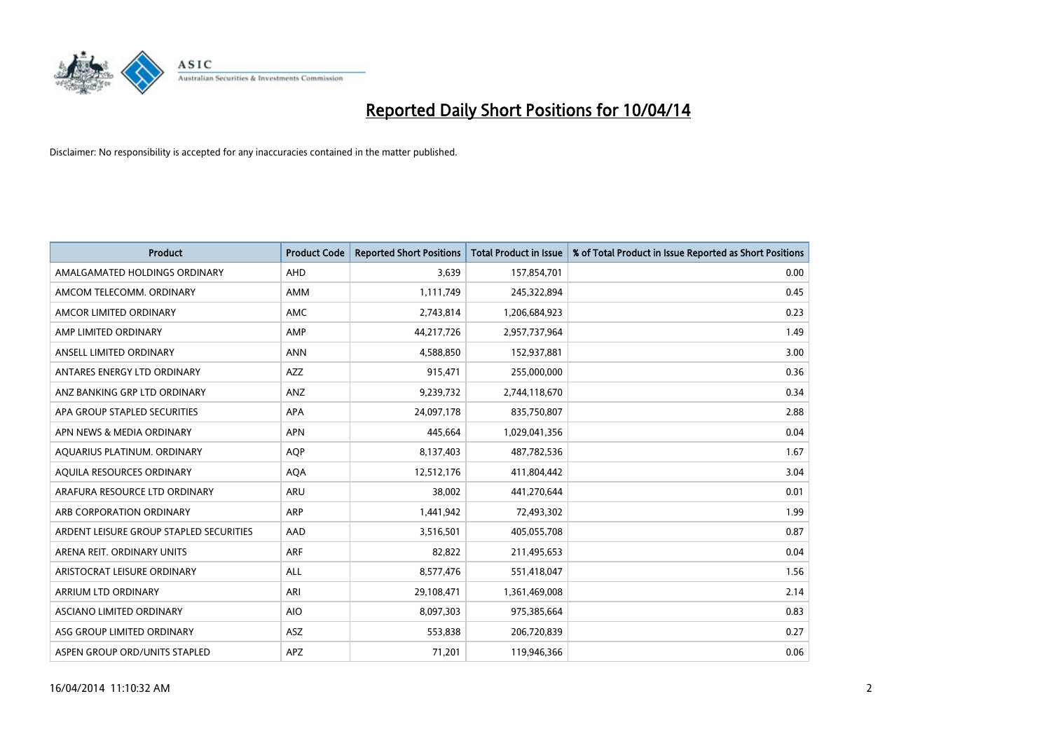

| <b>Product</b>                          | <b>Product Code</b> | <b>Reported Short Positions</b> | <b>Total Product in Issue</b> | % of Total Product in Issue Reported as Short Positions |
|-----------------------------------------|---------------------|---------------------------------|-------------------------------|---------------------------------------------------------|
| AMALGAMATED HOLDINGS ORDINARY           | <b>AHD</b>          | 3,639                           | 157,854,701                   | 0.00                                                    |
| AMCOM TELECOMM. ORDINARY                | AMM                 | 1,111,749                       | 245,322,894                   | 0.45                                                    |
| AMCOR LIMITED ORDINARY                  | AMC                 | 2,743,814                       | 1,206,684,923                 | 0.23                                                    |
| AMP LIMITED ORDINARY                    | AMP                 | 44,217,726                      | 2,957,737,964                 | 1.49                                                    |
| ANSELL LIMITED ORDINARY                 | <b>ANN</b>          | 4,588,850                       | 152,937,881                   | 3.00                                                    |
| ANTARES ENERGY LTD ORDINARY             | AZZ                 | 915,471                         | 255,000,000                   | 0.36                                                    |
| ANZ BANKING GRP LTD ORDINARY            | <b>ANZ</b>          | 9,239,732                       | 2,744,118,670                 | 0.34                                                    |
| APA GROUP STAPLED SECURITIES            | APA                 | 24,097,178                      | 835,750,807                   | 2.88                                                    |
| APN NEWS & MEDIA ORDINARY               | <b>APN</b>          | 445,664                         | 1,029,041,356                 | 0.04                                                    |
| AQUARIUS PLATINUM. ORDINARY             | <b>AOP</b>          | 8,137,403                       | 487,782,536                   | 1.67                                                    |
| AQUILA RESOURCES ORDINARY               | <b>AQA</b>          | 12,512,176                      | 411,804,442                   | 3.04                                                    |
| ARAFURA RESOURCE LTD ORDINARY           | ARU                 | 38,002                          | 441,270,644                   | 0.01                                                    |
| ARB CORPORATION ORDINARY                | <b>ARP</b>          | 1,441,942                       | 72,493,302                    | 1.99                                                    |
| ARDENT LEISURE GROUP STAPLED SECURITIES | AAD                 | 3,516,501                       | 405,055,708                   | 0.87                                                    |
| ARENA REIT. ORDINARY UNITS              | <b>ARF</b>          | 82,822                          | 211,495,653                   | 0.04                                                    |
| ARISTOCRAT LEISURE ORDINARY             | ALL                 | 8,577,476                       | 551,418,047                   | 1.56                                                    |
| ARRIUM LTD ORDINARY                     | ARI                 | 29,108,471                      | 1,361,469,008                 | 2.14                                                    |
| ASCIANO LIMITED ORDINARY                | <b>AIO</b>          | 8,097,303                       | 975,385,664                   | 0.83                                                    |
| ASG GROUP LIMITED ORDINARY              | <b>ASZ</b>          | 553,838                         | 206,720,839                   | 0.27                                                    |
| ASPEN GROUP ORD/UNITS STAPLED           | APZ                 | 71,201                          | 119,946,366                   | 0.06                                                    |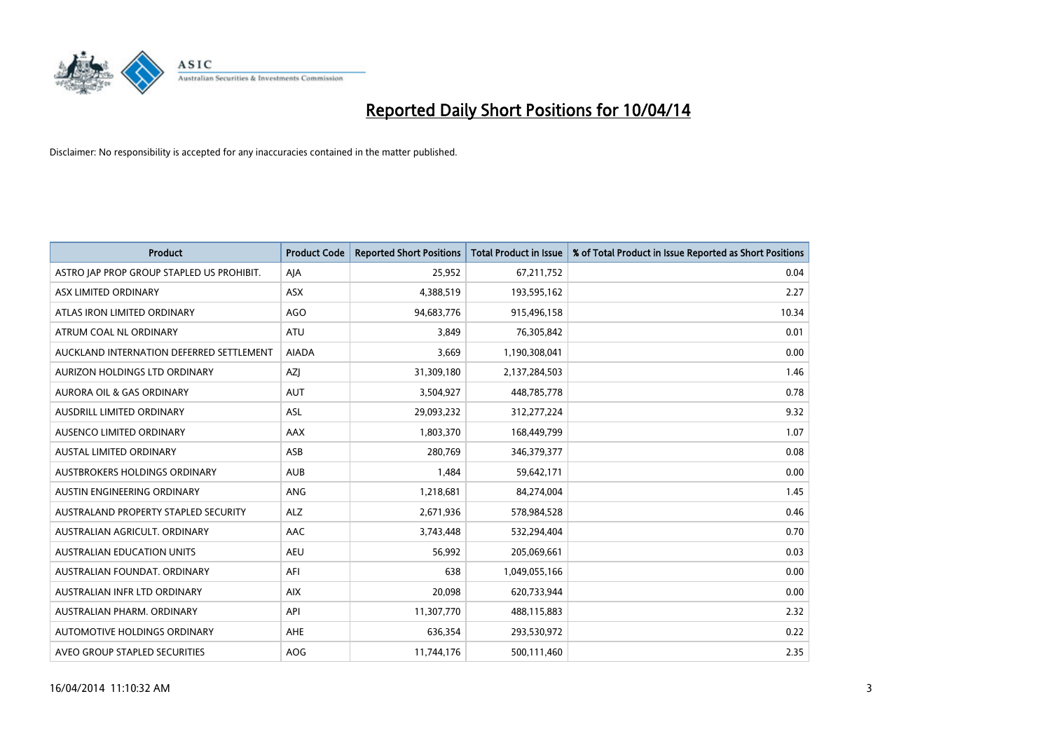

| <b>Product</b>                            | <b>Product Code</b> | <b>Reported Short Positions</b> | <b>Total Product in Issue</b> | % of Total Product in Issue Reported as Short Positions |
|-------------------------------------------|---------------------|---------------------------------|-------------------------------|---------------------------------------------------------|
| ASTRO JAP PROP GROUP STAPLED US PROHIBIT. | AJA                 | 25,952                          | 67,211,752                    | 0.04                                                    |
| ASX LIMITED ORDINARY                      | ASX                 | 4,388,519                       | 193,595,162                   | 2.27                                                    |
| ATLAS IRON LIMITED ORDINARY               | <b>AGO</b>          | 94,683,776                      | 915,496,158                   | 10.34                                                   |
| ATRUM COAL NL ORDINARY                    | <b>ATU</b>          | 3,849                           | 76,305,842                    | 0.01                                                    |
| AUCKLAND INTERNATION DEFERRED SETTLEMENT  | <b>AIADA</b>        | 3,669                           | 1,190,308,041                 | 0.00                                                    |
| AURIZON HOLDINGS LTD ORDINARY             | AZJ                 | 31,309,180                      | 2,137,284,503                 | 1.46                                                    |
| <b>AURORA OIL &amp; GAS ORDINARY</b>      | <b>AUT</b>          | 3,504,927                       | 448,785,778                   | 0.78                                                    |
| AUSDRILL LIMITED ORDINARY                 | <b>ASL</b>          | 29,093,232                      | 312,277,224                   | 9.32                                                    |
| AUSENCO LIMITED ORDINARY                  | AAX                 | 1,803,370                       | 168,449,799                   | 1.07                                                    |
| <b>AUSTAL LIMITED ORDINARY</b>            | ASB                 | 280,769                         | 346, 379, 377                 | 0.08                                                    |
| <b>AUSTBROKERS HOLDINGS ORDINARY</b>      | <b>AUB</b>          | 1,484                           | 59,642,171                    | 0.00                                                    |
| AUSTIN ENGINEERING ORDINARY               | ANG                 | 1,218,681                       | 84,274,004                    | 1.45                                                    |
| AUSTRALAND PROPERTY STAPLED SECURITY      | <b>ALZ</b>          | 2,671,936                       | 578,984,528                   | 0.46                                                    |
| AUSTRALIAN AGRICULT, ORDINARY             | AAC                 | 3,743,448                       | 532,294,404                   | 0.70                                                    |
| <b>AUSTRALIAN EDUCATION UNITS</b>         | <b>AEU</b>          | 56,992                          | 205,069,661                   | 0.03                                                    |
| AUSTRALIAN FOUNDAT, ORDINARY              | AFI                 | 638                             | 1,049,055,166                 | 0.00                                                    |
| AUSTRALIAN INFR LTD ORDINARY              | <b>AIX</b>          | 20,098                          | 620,733,944                   | 0.00                                                    |
| AUSTRALIAN PHARM. ORDINARY                | API                 | 11,307,770                      | 488,115,883                   | 2.32                                                    |
| <b>AUTOMOTIVE HOLDINGS ORDINARY</b>       | <b>AHE</b>          | 636,354                         | 293,530,972                   | 0.22                                                    |
| AVEO GROUP STAPLED SECURITIES             | <b>AOG</b>          | 11,744,176                      | 500,111,460                   | 2.35                                                    |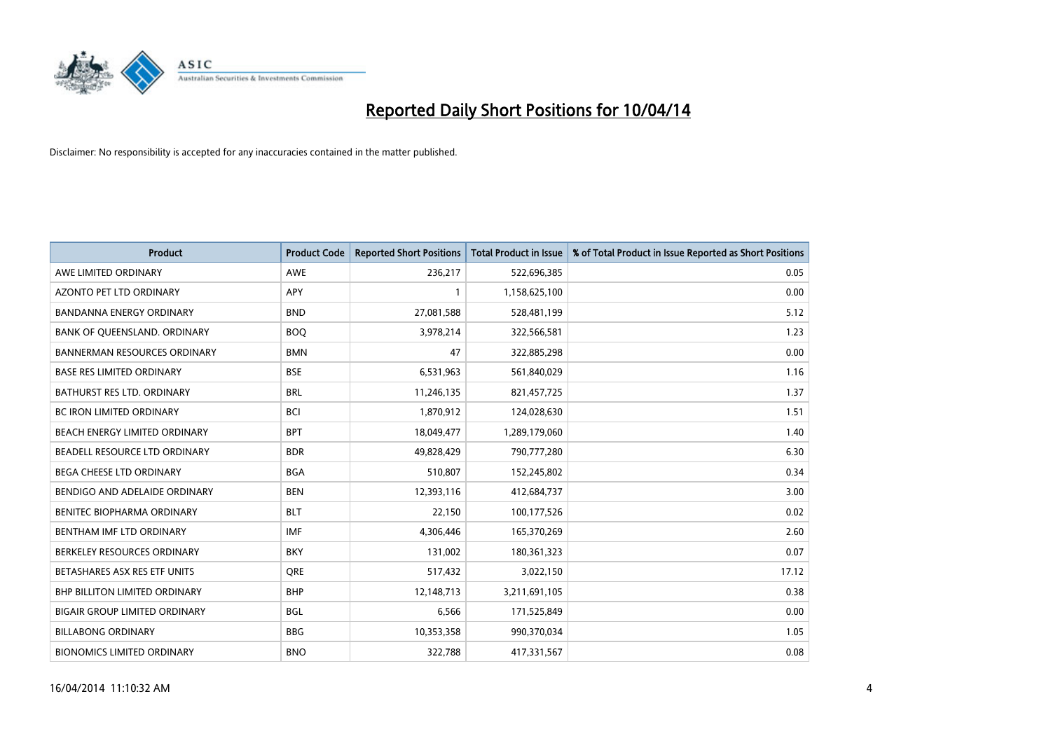

| <b>Product</b>                       | <b>Product Code</b> | <b>Reported Short Positions</b> | <b>Total Product in Issue</b> | % of Total Product in Issue Reported as Short Positions |
|--------------------------------------|---------------------|---------------------------------|-------------------------------|---------------------------------------------------------|
| AWE LIMITED ORDINARY                 | <b>AWE</b>          | 236,217                         | 522,696,385                   | 0.05                                                    |
| AZONTO PET LTD ORDINARY              | APY                 | $\mathbf{1}$                    | 1,158,625,100                 | 0.00                                                    |
| <b>BANDANNA ENERGY ORDINARY</b>      | <b>BND</b>          | 27,081,588                      | 528,481,199                   | 5.12                                                    |
| BANK OF QUEENSLAND. ORDINARY         | <b>BOQ</b>          | 3,978,214                       | 322,566,581                   | 1.23                                                    |
| <b>BANNERMAN RESOURCES ORDINARY</b>  | <b>BMN</b>          | 47                              | 322,885,298                   | 0.00                                                    |
| <b>BASE RES LIMITED ORDINARY</b>     | <b>BSE</b>          | 6,531,963                       | 561,840,029                   | 1.16                                                    |
| BATHURST RES LTD. ORDINARY           | <b>BRL</b>          | 11,246,135                      | 821,457,725                   | 1.37                                                    |
| <b>BC IRON LIMITED ORDINARY</b>      | <b>BCI</b>          | 1,870,912                       | 124,028,630                   | 1.51                                                    |
| BEACH ENERGY LIMITED ORDINARY        | <b>BPT</b>          | 18,049,477                      | 1,289,179,060                 | 1.40                                                    |
| BEADELL RESOURCE LTD ORDINARY        | <b>BDR</b>          | 49,828,429                      | 790,777,280                   | 6.30                                                    |
| BEGA CHEESE LTD ORDINARY             | <b>BGA</b>          | 510,807                         | 152,245,802                   | 0.34                                                    |
| BENDIGO AND ADELAIDE ORDINARY        | <b>BEN</b>          | 12,393,116                      | 412,684,737                   | 3.00                                                    |
| BENITEC BIOPHARMA ORDINARY           | <b>BLT</b>          | 22,150                          | 100,177,526                   | 0.02                                                    |
| BENTHAM IMF LTD ORDINARY             | <b>IMF</b>          | 4,306,446                       | 165,370,269                   | 2.60                                                    |
| BERKELEY RESOURCES ORDINARY          | <b>BKY</b>          | 131,002                         | 180,361,323                   | 0.07                                                    |
| BETASHARES ASX RES ETF UNITS         | <b>ORE</b>          | 517,432                         | 3,022,150                     | 17.12                                                   |
| BHP BILLITON LIMITED ORDINARY        | <b>BHP</b>          | 12,148,713                      | 3,211,691,105                 | 0.38                                                    |
| <b>BIGAIR GROUP LIMITED ORDINARY</b> | <b>BGL</b>          | 6,566                           | 171,525,849                   | 0.00                                                    |
| <b>BILLABONG ORDINARY</b>            | <b>BBG</b>          | 10,353,358                      | 990,370,034                   | 1.05                                                    |
| <b>BIONOMICS LIMITED ORDINARY</b>    | <b>BNO</b>          | 322,788                         | 417,331,567                   | 0.08                                                    |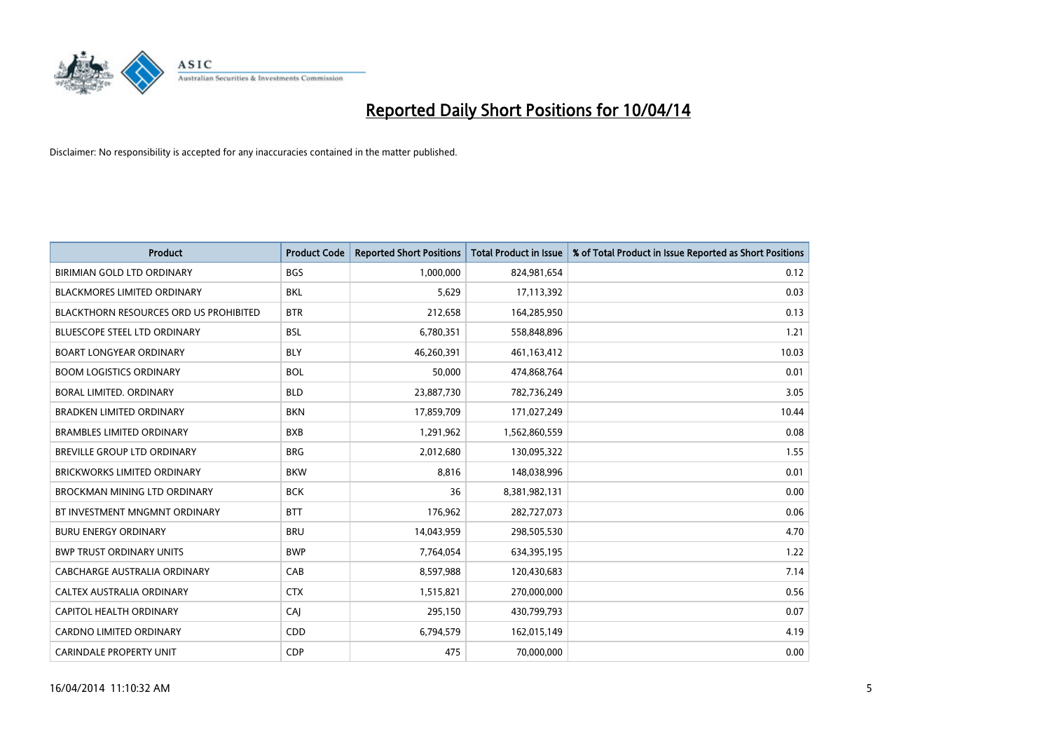

| <b>Product</b>                                | <b>Product Code</b> | <b>Reported Short Positions</b> | <b>Total Product in Issue</b> | % of Total Product in Issue Reported as Short Positions |
|-----------------------------------------------|---------------------|---------------------------------|-------------------------------|---------------------------------------------------------|
| <b>BIRIMIAN GOLD LTD ORDINARY</b>             | <b>BGS</b>          | 1,000,000                       | 824,981,654                   | 0.12                                                    |
| <b>BLACKMORES LIMITED ORDINARY</b>            | BKL                 | 5,629                           | 17,113,392                    | 0.03                                                    |
| <b>BLACKTHORN RESOURCES ORD US PROHIBITED</b> | <b>BTR</b>          | 212,658                         | 164,285,950                   | 0.13                                                    |
| BLUESCOPE STEEL LTD ORDINARY                  | <b>BSL</b>          | 6,780,351                       | 558,848,896                   | 1.21                                                    |
| <b>BOART LONGYEAR ORDINARY</b>                | <b>BLY</b>          | 46,260,391                      | 461, 163, 412                 | 10.03                                                   |
| <b>BOOM LOGISTICS ORDINARY</b>                | <b>BOL</b>          | 50,000                          | 474,868,764                   | 0.01                                                    |
| <b>BORAL LIMITED, ORDINARY</b>                | <b>BLD</b>          | 23,887,730                      | 782,736,249                   | 3.05                                                    |
| <b>BRADKEN LIMITED ORDINARY</b>               | <b>BKN</b>          | 17,859,709                      | 171,027,249                   | 10.44                                                   |
| <b>BRAMBLES LIMITED ORDINARY</b>              | <b>BXB</b>          | 1,291,962                       | 1,562,860,559                 | 0.08                                                    |
| <b>BREVILLE GROUP LTD ORDINARY</b>            | <b>BRG</b>          | 2,012,680                       | 130,095,322                   | 1.55                                                    |
| <b>BRICKWORKS LIMITED ORDINARY</b>            | <b>BKW</b>          | 8,816                           | 148,038,996                   | 0.01                                                    |
| <b>BROCKMAN MINING LTD ORDINARY</b>           | <b>BCK</b>          | 36                              | 8,381,982,131                 | 0.00                                                    |
| BT INVESTMENT MNGMNT ORDINARY                 | <b>BTT</b>          | 176,962                         | 282,727,073                   | 0.06                                                    |
| <b>BURU ENERGY ORDINARY</b>                   | <b>BRU</b>          | 14,043,959                      | 298,505,530                   | 4.70                                                    |
| <b>BWP TRUST ORDINARY UNITS</b>               | <b>BWP</b>          | 7,764,054                       | 634,395,195                   | 1.22                                                    |
| <b>CABCHARGE AUSTRALIA ORDINARY</b>           | CAB                 | 8,597,988                       | 120,430,683                   | 7.14                                                    |
| CALTEX AUSTRALIA ORDINARY                     | <b>CTX</b>          | 1,515,821                       | 270,000,000                   | 0.56                                                    |
| CAPITOL HEALTH ORDINARY                       | <b>CAJ</b>          | 295,150                         | 430,799,793                   | 0.07                                                    |
| CARDNO LIMITED ORDINARY                       | CDD                 | 6,794,579                       | 162,015,149                   | 4.19                                                    |
| <b>CARINDALE PROPERTY UNIT</b>                | <b>CDP</b>          | 475                             | 70,000,000                    | 0.00                                                    |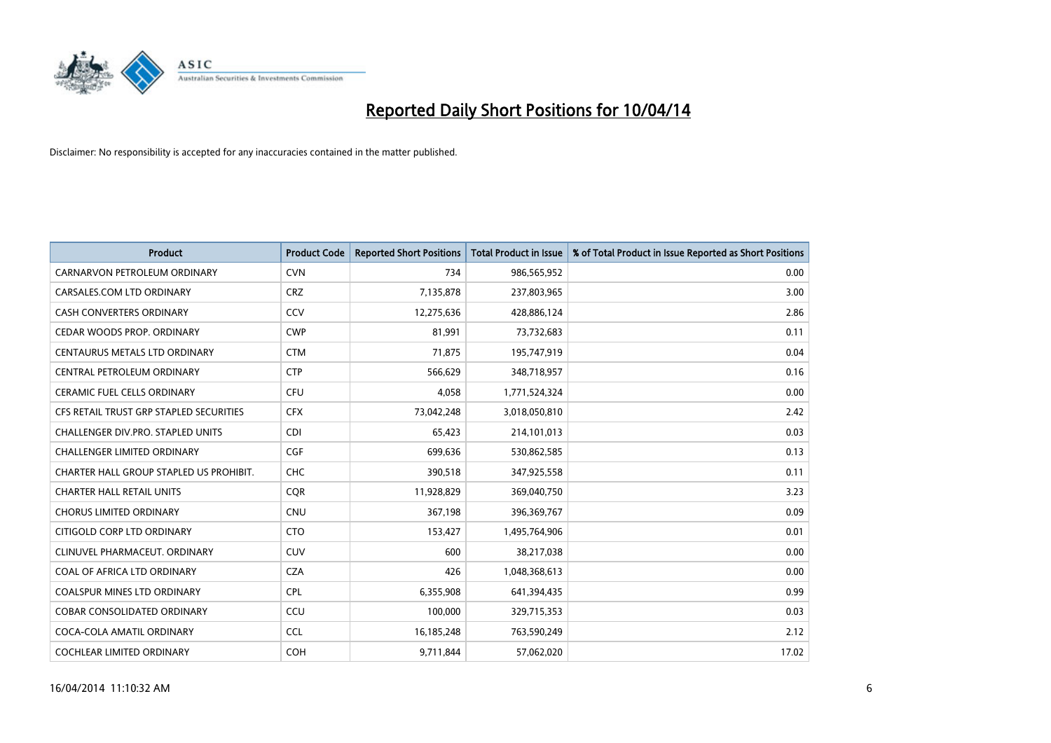

| <b>Product</b>                          | <b>Product Code</b> | <b>Reported Short Positions</b> | <b>Total Product in Issue</b> | % of Total Product in Issue Reported as Short Positions |
|-----------------------------------------|---------------------|---------------------------------|-------------------------------|---------------------------------------------------------|
| CARNARVON PETROLEUM ORDINARY            | <b>CVN</b>          | 734                             | 986,565,952                   | 0.00                                                    |
| CARSALES.COM LTD ORDINARY               | <b>CRZ</b>          | 7,135,878                       | 237,803,965                   | 3.00                                                    |
| <b>CASH CONVERTERS ORDINARY</b>         | CCV                 | 12,275,636                      | 428,886,124                   | 2.86                                                    |
| CEDAR WOODS PROP. ORDINARY              | <b>CWP</b>          | 81,991                          | 73,732,683                    | 0.11                                                    |
| CENTAURUS METALS LTD ORDINARY           | <b>CTM</b>          | 71,875                          | 195,747,919                   | 0.04                                                    |
| CENTRAL PETROLEUM ORDINARY              | <b>CTP</b>          | 566,629                         | 348,718,957                   | 0.16                                                    |
| <b>CERAMIC FUEL CELLS ORDINARY</b>      | <b>CFU</b>          | 4,058                           | 1,771,524,324                 | 0.00                                                    |
| CFS RETAIL TRUST GRP STAPLED SECURITIES | <b>CFX</b>          | 73,042,248                      | 3,018,050,810                 | 2.42                                                    |
| CHALLENGER DIV.PRO. STAPLED UNITS       | <b>CDI</b>          | 65,423                          | 214,101,013                   | 0.03                                                    |
| <b>CHALLENGER LIMITED ORDINARY</b>      | <b>CGF</b>          | 699,636                         | 530,862,585                   | 0.13                                                    |
| CHARTER HALL GROUP STAPLED US PROHIBIT. | <b>CHC</b>          | 390,518                         | 347,925,558                   | 0.11                                                    |
| <b>CHARTER HALL RETAIL UNITS</b>        | <b>CQR</b>          | 11,928,829                      | 369,040,750                   | 3.23                                                    |
| <b>CHORUS LIMITED ORDINARY</b>          | <b>CNU</b>          | 367,198                         | 396,369,767                   | 0.09                                                    |
| CITIGOLD CORP LTD ORDINARY              | <b>CTO</b>          | 153,427                         | 1,495,764,906                 | 0.01                                                    |
| CLINUVEL PHARMACEUT, ORDINARY           | CUV                 | 600                             | 38,217,038                    | 0.00                                                    |
| COAL OF AFRICA LTD ORDINARY             | <b>CZA</b>          | 426                             | 1,048,368,613                 | 0.00                                                    |
| COALSPUR MINES LTD ORDINARY             | <b>CPL</b>          | 6,355,908                       | 641,394,435                   | 0.99                                                    |
| COBAR CONSOLIDATED ORDINARY             | CCU                 | 100,000                         | 329,715,353                   | 0.03                                                    |
| COCA-COLA AMATIL ORDINARY               | <b>CCL</b>          | 16,185,248                      | 763,590,249                   | 2.12                                                    |
| COCHLEAR LIMITED ORDINARY               | <b>COH</b>          | 9,711,844                       | 57,062,020                    | 17.02                                                   |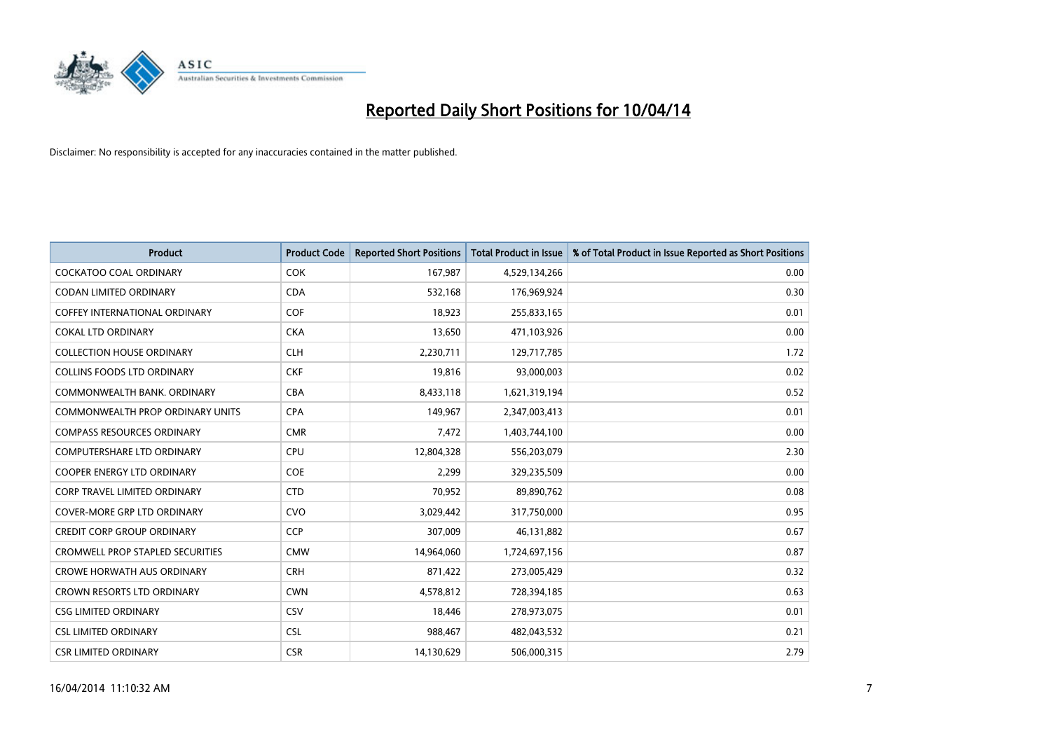

| <b>Product</b>                          | <b>Product Code</b> | <b>Reported Short Positions</b> | <b>Total Product in Issue</b> | % of Total Product in Issue Reported as Short Positions |
|-----------------------------------------|---------------------|---------------------------------|-------------------------------|---------------------------------------------------------|
| <b>COCKATOO COAL ORDINARY</b>           | <b>COK</b>          | 167,987                         | 4,529,134,266                 | 0.00                                                    |
| CODAN LIMITED ORDINARY                  | <b>CDA</b>          | 532,168                         | 176,969,924                   | 0.30                                                    |
| <b>COFFEY INTERNATIONAL ORDINARY</b>    | <b>COF</b>          | 18,923                          | 255,833,165                   | 0.01                                                    |
| <b>COKAL LTD ORDINARY</b>               | <b>CKA</b>          | 13,650                          | 471,103,926                   | 0.00                                                    |
| <b>COLLECTION HOUSE ORDINARY</b>        | <b>CLH</b>          | 2,230,711                       | 129,717,785                   | 1.72                                                    |
| <b>COLLINS FOODS LTD ORDINARY</b>       | <b>CKF</b>          | 19,816                          | 93,000,003                    | 0.02                                                    |
| COMMONWEALTH BANK, ORDINARY             | <b>CBA</b>          | 8,433,118                       | 1,621,319,194                 | 0.52                                                    |
| COMMONWEALTH PROP ORDINARY UNITS        | <b>CPA</b>          | 149,967                         | 2,347,003,413                 | 0.01                                                    |
| <b>COMPASS RESOURCES ORDINARY</b>       | <b>CMR</b>          | 7,472                           | 1,403,744,100                 | 0.00                                                    |
| <b>COMPUTERSHARE LTD ORDINARY</b>       | <b>CPU</b>          | 12,804,328                      | 556,203,079                   | 2.30                                                    |
| COOPER ENERGY LTD ORDINARY              | <b>COE</b>          | 2,299                           | 329,235,509                   | 0.00                                                    |
| <b>CORP TRAVEL LIMITED ORDINARY</b>     | <b>CTD</b>          | 70,952                          | 89,890,762                    | 0.08                                                    |
| <b>COVER-MORE GRP LTD ORDINARY</b>      | <b>CVO</b>          | 3,029,442                       | 317,750,000                   | 0.95                                                    |
| <b>CREDIT CORP GROUP ORDINARY</b>       | <b>CCP</b>          | 307,009                         | 46,131,882                    | 0.67                                                    |
| <b>CROMWELL PROP STAPLED SECURITIES</b> | <b>CMW</b>          | 14,964,060                      | 1,724,697,156                 | 0.87                                                    |
| <b>CROWE HORWATH AUS ORDINARY</b>       | <b>CRH</b>          | 871,422                         | 273,005,429                   | 0.32                                                    |
| CROWN RESORTS LTD ORDINARY              | <b>CWN</b>          | 4,578,812                       | 728,394,185                   | 0.63                                                    |
| <b>CSG LIMITED ORDINARY</b>             | CSV                 | 18,446                          | 278,973,075                   | 0.01                                                    |
| <b>CSL LIMITED ORDINARY</b>             | <b>CSL</b>          | 988,467                         | 482,043,532                   | 0.21                                                    |
| <b>CSR LIMITED ORDINARY</b>             | <b>CSR</b>          | 14,130,629                      | 506,000,315                   | 2.79                                                    |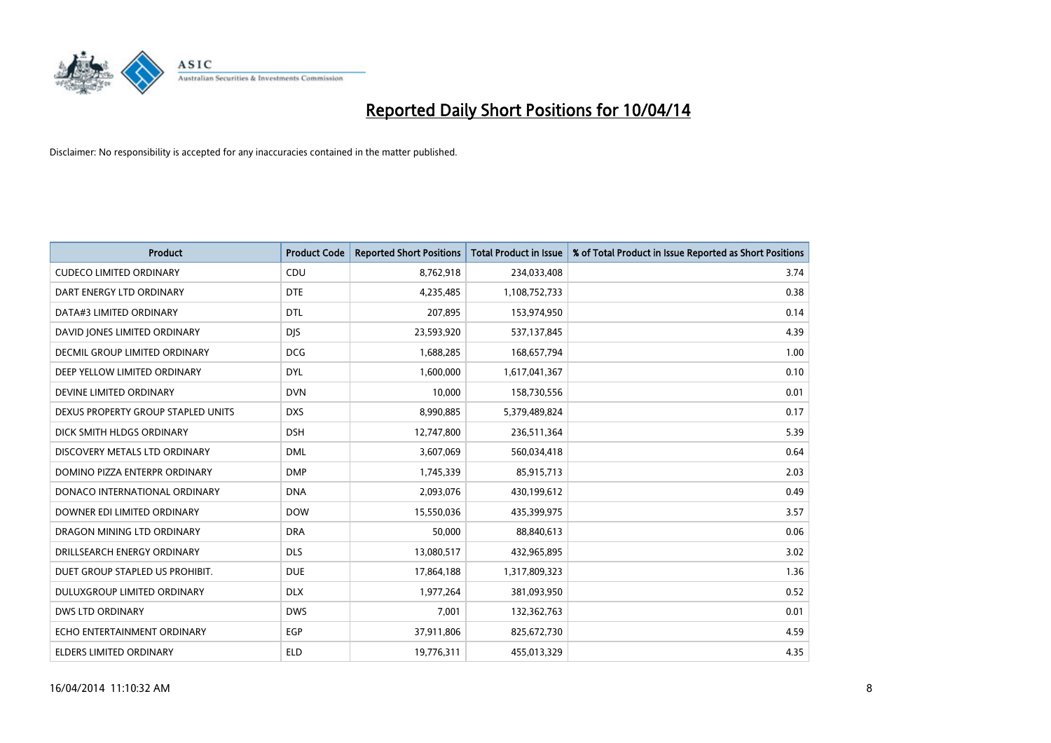

| <b>Product</b>                     | <b>Product Code</b> | <b>Reported Short Positions</b> | <b>Total Product in Issue</b> | % of Total Product in Issue Reported as Short Positions |
|------------------------------------|---------------------|---------------------------------|-------------------------------|---------------------------------------------------------|
| <b>CUDECO LIMITED ORDINARY</b>     | CDU                 | 8,762,918                       | 234,033,408                   | 3.74                                                    |
| DART ENERGY LTD ORDINARY           | <b>DTE</b>          | 4,235,485                       | 1,108,752,733                 | 0.38                                                    |
| DATA#3 LIMITED ORDINARY            | <b>DTL</b>          | 207,895                         | 153,974,950                   | 0.14                                                    |
| DAVID JONES LIMITED ORDINARY       | <b>DIS</b>          | 23,593,920                      | 537,137,845                   | 4.39                                                    |
| DECMIL GROUP LIMITED ORDINARY      | <b>DCG</b>          | 1,688,285                       | 168,657,794                   | 1.00                                                    |
| DEEP YELLOW LIMITED ORDINARY       | <b>DYL</b>          | 1,600,000                       | 1,617,041,367                 | 0.10                                                    |
| DEVINE LIMITED ORDINARY            | <b>DVN</b>          | 10,000                          | 158,730,556                   | 0.01                                                    |
| DEXUS PROPERTY GROUP STAPLED UNITS | <b>DXS</b>          | 8,990,885                       | 5,379,489,824                 | 0.17                                                    |
| DICK SMITH HLDGS ORDINARY          | <b>DSH</b>          | 12,747,800                      | 236,511,364                   | 5.39                                                    |
| DISCOVERY METALS LTD ORDINARY      | <b>DML</b>          | 3,607,069                       | 560,034,418                   | 0.64                                                    |
| DOMINO PIZZA ENTERPR ORDINARY      | <b>DMP</b>          | 1,745,339                       | 85,915,713                    | 2.03                                                    |
| DONACO INTERNATIONAL ORDINARY      | <b>DNA</b>          | 2,093,076                       | 430,199,612                   | 0.49                                                    |
| DOWNER EDI LIMITED ORDINARY        | <b>DOW</b>          | 15,550,036                      | 435,399,975                   | 3.57                                                    |
| DRAGON MINING LTD ORDINARY         | <b>DRA</b>          | 50,000                          | 88,840,613                    | 0.06                                                    |
| DRILLSEARCH ENERGY ORDINARY        | <b>DLS</b>          | 13,080,517                      | 432,965,895                   | 3.02                                                    |
| DUET GROUP STAPLED US PROHIBIT.    | <b>DUE</b>          | 17,864,188                      | 1,317,809,323                 | 1.36                                                    |
| DULUXGROUP LIMITED ORDINARY        | <b>DLX</b>          | 1,977,264                       | 381,093,950                   | 0.52                                                    |
| <b>DWS LTD ORDINARY</b>            | <b>DWS</b>          | 7,001                           | 132,362,763                   | 0.01                                                    |
| ECHO ENTERTAINMENT ORDINARY        | EGP                 | 37,911,806                      | 825,672,730                   | 4.59                                                    |
| <b>ELDERS LIMITED ORDINARY</b>     | <b>ELD</b>          | 19,776,311                      | 455,013,329                   | 4.35                                                    |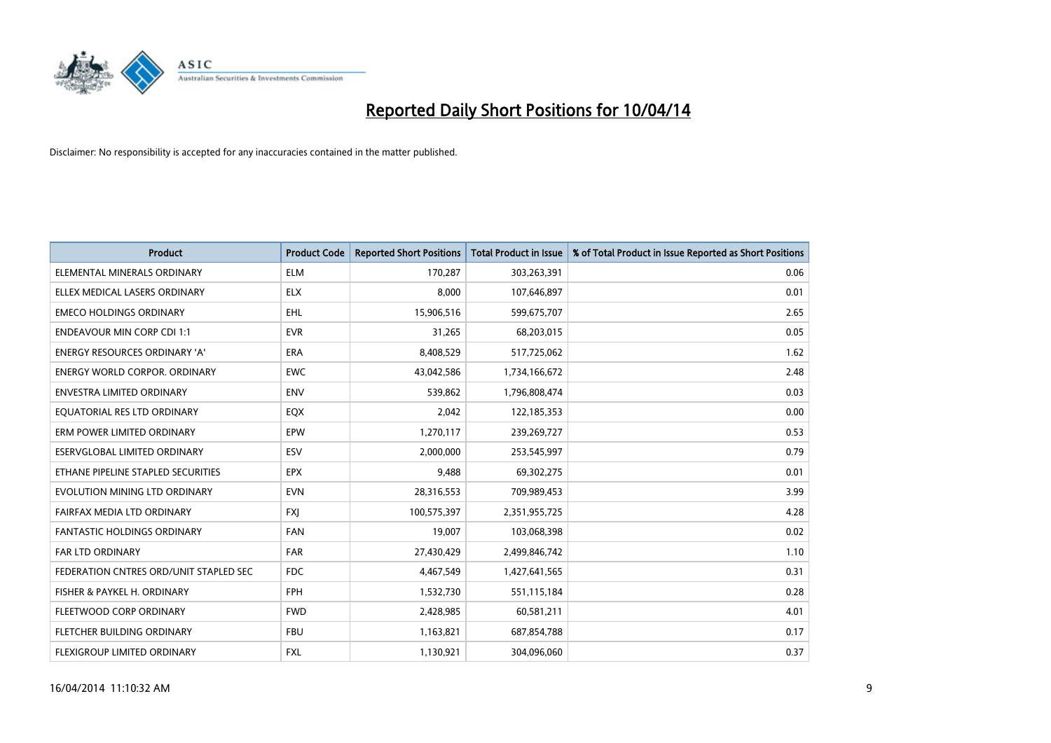

| <b>Product</b>                         | <b>Product Code</b> | <b>Reported Short Positions</b> | <b>Total Product in Issue</b> | % of Total Product in Issue Reported as Short Positions |
|----------------------------------------|---------------------|---------------------------------|-------------------------------|---------------------------------------------------------|
| ELEMENTAL MINERALS ORDINARY            | <b>ELM</b>          | 170,287                         | 303,263,391                   | 0.06                                                    |
| ELLEX MEDICAL LASERS ORDINARY          | <b>ELX</b>          | 8,000                           | 107,646,897                   | 0.01                                                    |
| <b>EMECO HOLDINGS ORDINARY</b>         | <b>EHL</b>          | 15,906,516                      | 599,675,707                   | 2.65                                                    |
| <b>ENDEAVOUR MIN CORP CDI 1:1</b>      | <b>EVR</b>          | 31,265                          | 68,203,015                    | 0.05                                                    |
| <b>ENERGY RESOURCES ORDINARY 'A'</b>   | <b>ERA</b>          | 8,408,529                       | 517,725,062                   | 1.62                                                    |
| <b>ENERGY WORLD CORPOR, ORDINARY</b>   | <b>EWC</b>          | 43,042,586                      | 1,734,166,672                 | 2.48                                                    |
| ENVESTRA LIMITED ORDINARY              | <b>ENV</b>          | 539,862                         | 1,796,808,474                 | 0.03                                                    |
| EQUATORIAL RES LTD ORDINARY            | EQX                 | 2,042                           | 122,185,353                   | 0.00                                                    |
| ERM POWER LIMITED ORDINARY             | EPW                 | 1,270,117                       | 239,269,727                   | 0.53                                                    |
| ESERVGLOBAL LIMITED ORDINARY           | ESV                 | 2,000,000                       | 253,545,997                   | 0.79                                                    |
| ETHANE PIPELINE STAPLED SECURITIES     | <b>EPX</b>          | 9,488                           | 69,302,275                    | 0.01                                                    |
| EVOLUTION MINING LTD ORDINARY          | <b>EVN</b>          | 28,316,553                      | 709,989,453                   | 3.99                                                    |
| FAIRFAX MEDIA LTD ORDINARY             | <b>FXI</b>          | 100,575,397                     | 2,351,955,725                 | 4.28                                                    |
| <b>FANTASTIC HOLDINGS ORDINARY</b>     | <b>FAN</b>          | 19,007                          | 103,068,398                   | 0.02                                                    |
| FAR LTD ORDINARY                       | <b>FAR</b>          | 27,430,429                      | 2,499,846,742                 | 1.10                                                    |
| FEDERATION CNTRES ORD/UNIT STAPLED SEC | <b>FDC</b>          | 4,467,549                       | 1,427,641,565                 | 0.31                                                    |
| FISHER & PAYKEL H. ORDINARY            | <b>FPH</b>          | 1,532,730                       | 551,115,184                   | 0.28                                                    |
| FLEETWOOD CORP ORDINARY                | <b>FWD</b>          | 2,428,985                       | 60,581,211                    | 4.01                                                    |
| FLETCHER BUILDING ORDINARY             | <b>FBU</b>          | 1,163,821                       | 687,854,788                   | 0.17                                                    |
| FLEXIGROUP LIMITED ORDINARY            | FXL                 | 1,130,921                       | 304,096,060                   | 0.37                                                    |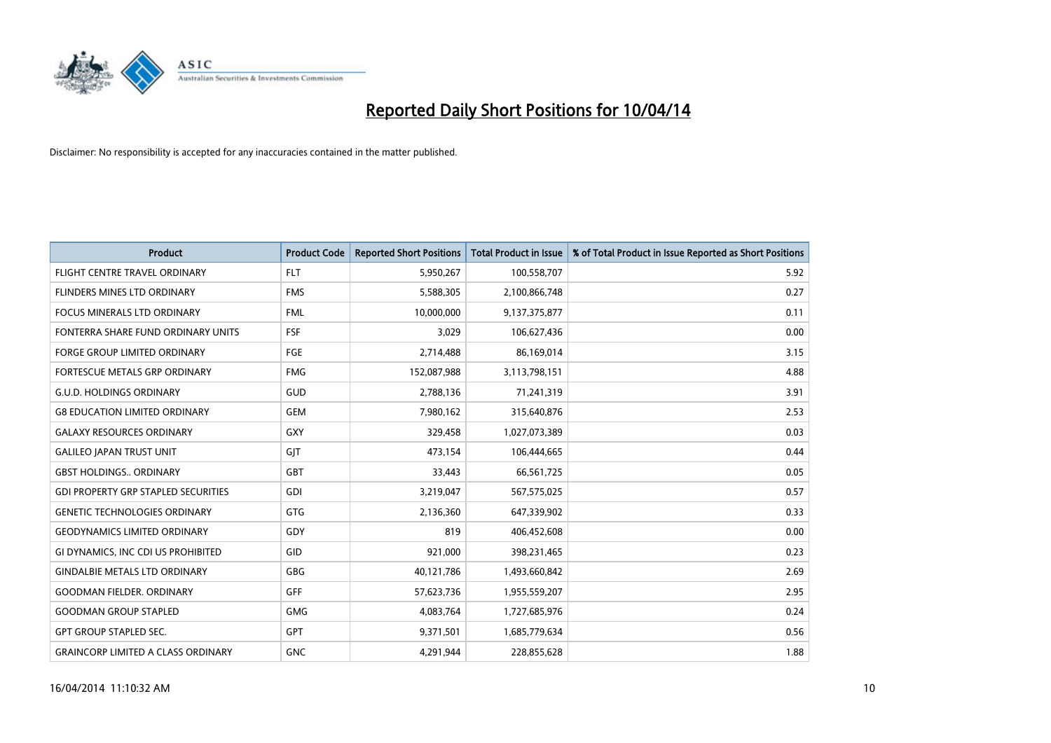

| <b>Product</b>                             | <b>Product Code</b> | <b>Reported Short Positions</b> | <b>Total Product in Issue</b> | % of Total Product in Issue Reported as Short Positions |
|--------------------------------------------|---------------------|---------------------------------|-------------------------------|---------------------------------------------------------|
| FLIGHT CENTRE TRAVEL ORDINARY              | <b>FLT</b>          | 5,950,267                       | 100,558,707                   | 5.92                                                    |
| FLINDERS MINES LTD ORDINARY                | <b>FMS</b>          | 5,588,305                       | 2,100,866,748                 | 0.27                                                    |
| <b>FOCUS MINERALS LTD ORDINARY</b>         | <b>FML</b>          | 10,000,000                      | 9,137,375,877                 | 0.11                                                    |
| FONTERRA SHARE FUND ORDINARY UNITS         | <b>FSF</b>          | 3,029                           | 106,627,436                   | 0.00                                                    |
| <b>FORGE GROUP LIMITED ORDINARY</b>        | <b>FGE</b>          | 2,714,488                       | 86,169,014                    | 3.15                                                    |
| FORTESCUE METALS GRP ORDINARY              | <b>FMG</b>          | 152,087,988                     | 3,113,798,151                 | 4.88                                                    |
| <b>G.U.D. HOLDINGS ORDINARY</b>            | GUD                 | 2,788,136                       | 71,241,319                    | 3.91                                                    |
| <b>G8 EDUCATION LIMITED ORDINARY</b>       | <b>GEM</b>          | 7,980,162                       | 315,640,876                   | 2.53                                                    |
| <b>GALAXY RESOURCES ORDINARY</b>           | GXY                 | 329,458                         | 1,027,073,389                 | 0.03                                                    |
| <b>GALILEO JAPAN TRUST UNIT</b>            | GIT                 | 473,154                         | 106,444,665                   | 0.44                                                    |
| <b>GBST HOLDINGS ORDINARY</b>              | GBT                 | 33,443                          | 66,561,725                    | 0.05                                                    |
| <b>GDI PROPERTY GRP STAPLED SECURITIES</b> | <b>GDI</b>          | 3,219,047                       | 567,575,025                   | 0.57                                                    |
| <b>GENETIC TECHNOLOGIES ORDINARY</b>       | GTG                 | 2,136,360                       | 647,339,902                   | 0.33                                                    |
| <b>GEODYNAMICS LIMITED ORDINARY</b>        | GDY                 | 819                             | 406,452,608                   | 0.00                                                    |
| GI DYNAMICS, INC CDI US PROHIBITED         | GID                 | 921,000                         | 398,231,465                   | 0.23                                                    |
| <b>GINDALBIE METALS LTD ORDINARY</b>       | GBG                 | 40,121,786                      | 1,493,660,842                 | 2.69                                                    |
| <b>GOODMAN FIELDER. ORDINARY</b>           | <b>GFF</b>          | 57,623,736                      | 1,955,559,207                 | 2.95                                                    |
| <b>GOODMAN GROUP STAPLED</b>               | <b>GMG</b>          | 4,083,764                       | 1,727,685,976                 | 0.24                                                    |
| <b>GPT GROUP STAPLED SEC.</b>              | <b>GPT</b>          | 9,371,501                       | 1,685,779,634                 | 0.56                                                    |
| <b>GRAINCORP LIMITED A CLASS ORDINARY</b>  | <b>GNC</b>          | 4,291,944                       | 228,855,628                   | 1.88                                                    |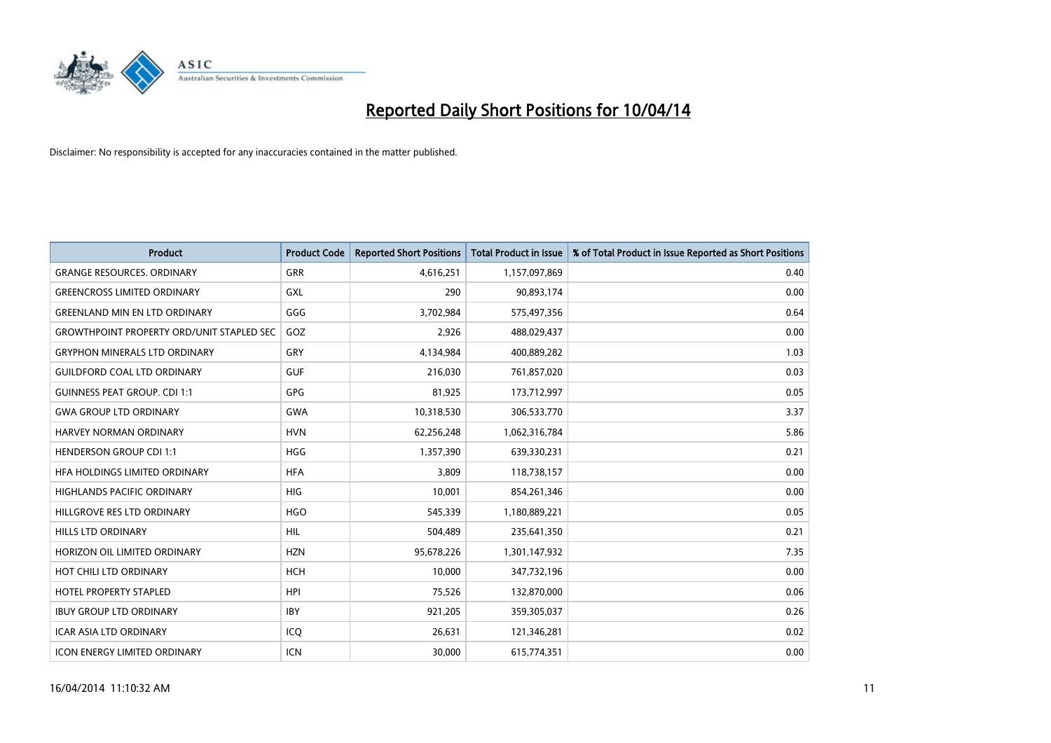

| <b>Product</b>                                   | <b>Product Code</b> | <b>Reported Short Positions</b> | <b>Total Product in Issue</b> | % of Total Product in Issue Reported as Short Positions |
|--------------------------------------------------|---------------------|---------------------------------|-------------------------------|---------------------------------------------------------|
| <b>GRANGE RESOURCES, ORDINARY</b>                | GRR                 | 4,616,251                       | 1,157,097,869                 | 0.40                                                    |
| <b>GREENCROSS LIMITED ORDINARY</b>               | GXL                 | 290                             | 90,893,174                    | 0.00                                                    |
| <b>GREENLAND MIN EN LTD ORDINARY</b>             | GGG                 | 3,702,984                       | 575,497,356                   | 0.64                                                    |
| <b>GROWTHPOINT PROPERTY ORD/UNIT STAPLED SEC</b> | GOZ                 | 2,926                           | 488,029,437                   | 0.00                                                    |
| <b>GRYPHON MINERALS LTD ORDINARY</b>             | GRY                 | 4,134,984                       | 400,889,282                   | 1.03                                                    |
| <b>GUILDFORD COAL LTD ORDINARY</b>               | <b>GUF</b>          | 216,030                         | 761,857,020                   | 0.03                                                    |
| <b>GUINNESS PEAT GROUP. CDI 1:1</b>              | GPG                 | 81.925                          | 173,712,997                   | 0.05                                                    |
| <b>GWA GROUP LTD ORDINARY</b>                    | <b>GWA</b>          | 10,318,530                      | 306,533,770                   | 3.37                                                    |
| <b>HARVEY NORMAN ORDINARY</b>                    | <b>HVN</b>          | 62,256,248                      | 1,062,316,784                 | 5.86                                                    |
| <b>HENDERSON GROUP CDI 1:1</b>                   | <b>HGG</b>          | 1,357,390                       | 639,330,231                   | 0.21                                                    |
| HFA HOLDINGS LIMITED ORDINARY                    | <b>HFA</b>          | 3,809                           | 118,738,157                   | 0.00                                                    |
| <b>HIGHLANDS PACIFIC ORDINARY</b>                | HIG                 | 10,001                          | 854,261,346                   | 0.00                                                    |
| HILLGROVE RES LTD ORDINARY                       | <b>HGO</b>          | 545,339                         | 1,180,889,221                 | 0.05                                                    |
| <b>HILLS LTD ORDINARY</b>                        | <b>HIL</b>          | 504,489                         | 235,641,350                   | 0.21                                                    |
| HORIZON OIL LIMITED ORDINARY                     | <b>HZN</b>          | 95,678,226                      | 1,301,147,932                 | 7.35                                                    |
| HOT CHILI LTD ORDINARY                           | <b>HCH</b>          | 10,000                          | 347,732,196                   | 0.00                                                    |
| <b>HOTEL PROPERTY STAPLED</b>                    | <b>HPI</b>          | 75,526                          | 132,870,000                   | 0.06                                                    |
| <b>IBUY GROUP LTD ORDINARY</b>                   | <b>IBY</b>          | 921,205                         | 359,305,037                   | 0.26                                                    |
| <b>ICAR ASIA LTD ORDINARY</b>                    | ICQ                 | 26,631                          | 121,346,281                   | 0.02                                                    |
| <b>ICON ENERGY LIMITED ORDINARY</b>              | <b>ICN</b>          | 30.000                          | 615,774,351                   | 0.00                                                    |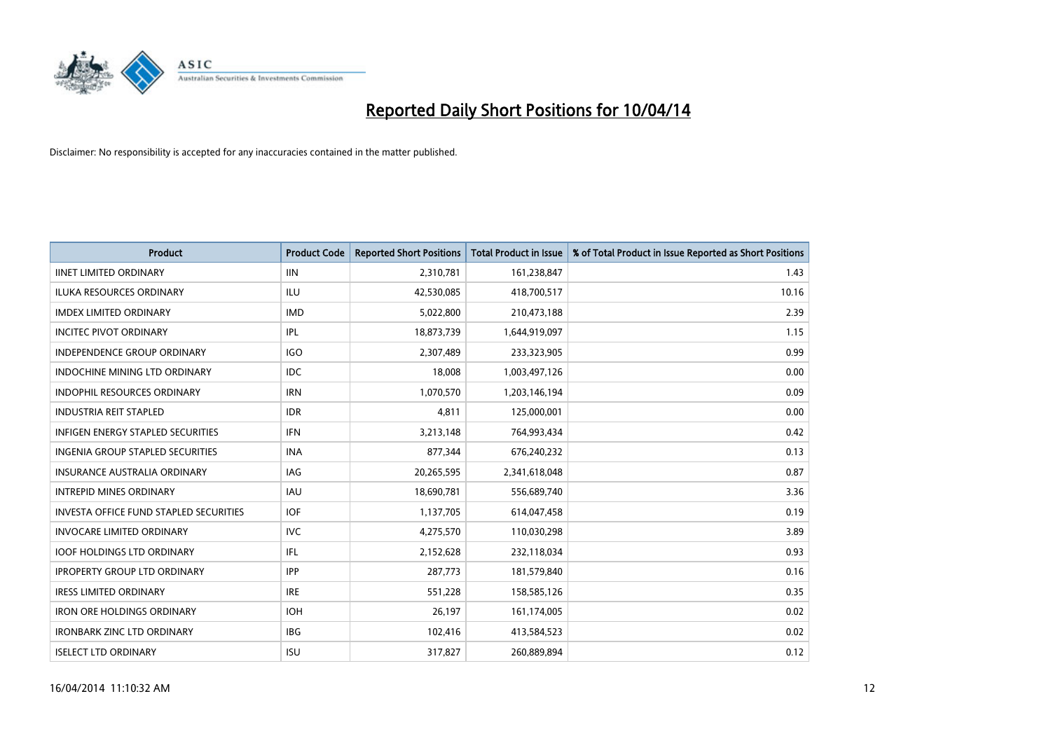

| <b>Product</b>                         | <b>Product Code</b> | <b>Reported Short Positions</b> | <b>Total Product in Issue</b> | % of Total Product in Issue Reported as Short Positions |
|----------------------------------------|---------------------|---------------------------------|-------------------------------|---------------------------------------------------------|
| <b>IINET LIMITED ORDINARY</b>          | <b>IIN</b>          | 2,310,781                       | 161,238,847                   | 1.43                                                    |
| ILUKA RESOURCES ORDINARY               | ILU                 | 42,530,085                      | 418,700,517                   | 10.16                                                   |
| <b>IMDEX LIMITED ORDINARY</b>          | <b>IMD</b>          | 5,022,800                       | 210,473,188                   | 2.39                                                    |
| <b>INCITEC PIVOT ORDINARY</b>          | IPL                 | 18,873,739                      | 1,644,919,097                 | 1.15                                                    |
| <b>INDEPENDENCE GROUP ORDINARY</b>     | <b>IGO</b>          | 2,307,489                       | 233,323,905                   | 0.99                                                    |
| INDOCHINE MINING LTD ORDINARY          | <b>IDC</b>          | 18,008                          | 1,003,497,126                 | 0.00                                                    |
| <b>INDOPHIL RESOURCES ORDINARY</b>     | <b>IRN</b>          | 1,070,570                       | 1,203,146,194                 | 0.09                                                    |
| <b>INDUSTRIA REIT STAPLED</b>          | <b>IDR</b>          | 4,811                           | 125,000,001                   | 0.00                                                    |
| INFIGEN ENERGY STAPLED SECURITIES      | <b>IFN</b>          | 3,213,148                       | 764,993,434                   | 0.42                                                    |
| INGENIA GROUP STAPLED SECURITIES       | <b>INA</b>          | 877,344                         | 676,240,232                   | 0.13                                                    |
| <b>INSURANCE AUSTRALIA ORDINARY</b>    | IAG                 | 20,265,595                      | 2,341,618,048                 | 0.87                                                    |
| <b>INTREPID MINES ORDINARY</b>         | IAU                 | 18,690,781                      | 556,689,740                   | 3.36                                                    |
| INVESTA OFFICE FUND STAPLED SECURITIES | <b>IOF</b>          | 1,137,705                       | 614,047,458                   | 0.19                                                    |
| <b>INVOCARE LIMITED ORDINARY</b>       | <b>IVC</b>          | 4,275,570                       | 110,030,298                   | 3.89                                                    |
| <b>IOOF HOLDINGS LTD ORDINARY</b>      | IFL                 | 2,152,628                       | 232,118,034                   | 0.93                                                    |
| <b>IPROPERTY GROUP LTD ORDINARY</b>    | <b>IPP</b>          | 287,773                         | 181,579,840                   | 0.16                                                    |
| <b>IRESS LIMITED ORDINARY</b>          | <b>IRE</b>          | 551,228                         | 158,585,126                   | 0.35                                                    |
| <b>IRON ORE HOLDINGS ORDINARY</b>      | <b>IOH</b>          | 26,197                          | 161,174,005                   | 0.02                                                    |
| <b>IRONBARK ZINC LTD ORDINARY</b>      | <b>IBG</b>          | 102,416                         | 413,584,523                   | 0.02                                                    |
| <b>ISELECT LTD ORDINARY</b>            | <b>ISU</b>          | 317,827                         | 260,889,894                   | 0.12                                                    |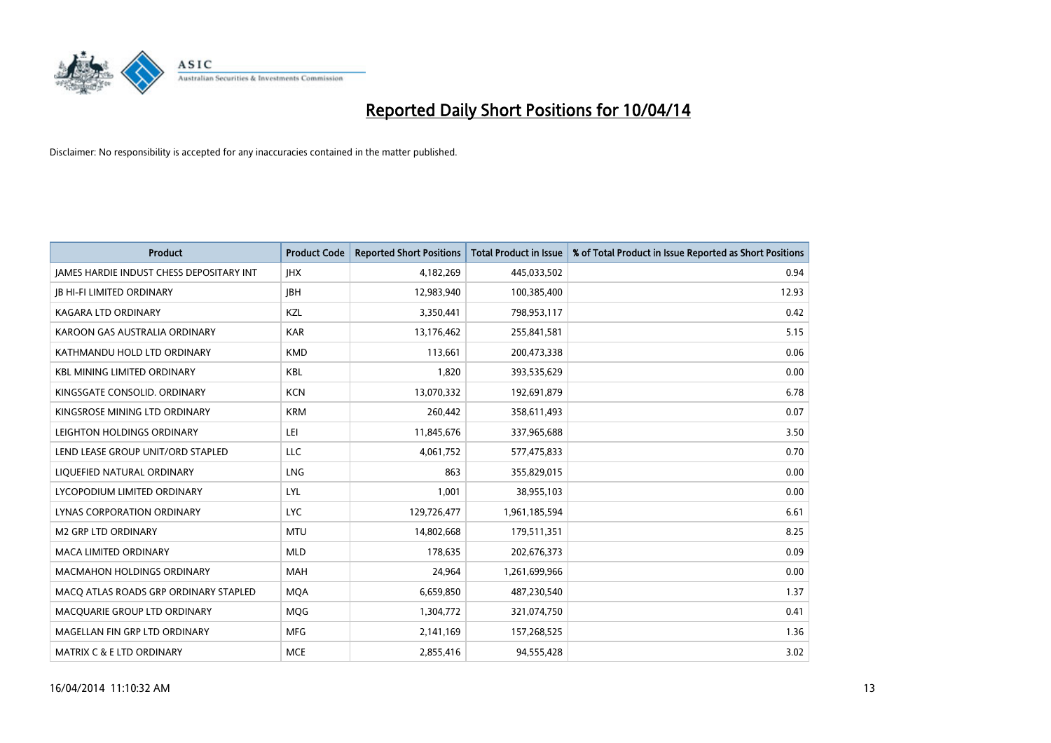

| <b>Product</b>                                  | <b>Product Code</b> | <b>Reported Short Positions</b> | <b>Total Product in Issue</b> | % of Total Product in Issue Reported as Short Positions |
|-------------------------------------------------|---------------------|---------------------------------|-------------------------------|---------------------------------------------------------|
| <b>JAMES HARDIE INDUST CHESS DEPOSITARY INT</b> | <b>IHX</b>          | 4,182,269                       | 445,033,502                   | 0.94                                                    |
| <b>JB HI-FI LIMITED ORDINARY</b>                | <b>JBH</b>          | 12,983,940                      | 100,385,400                   | 12.93                                                   |
| <b>KAGARA LTD ORDINARY</b>                      | <b>KZL</b>          | 3,350,441                       | 798,953,117                   | 0.42                                                    |
| KAROON GAS AUSTRALIA ORDINARY                   | <b>KAR</b>          | 13,176,462                      | 255,841,581                   | 5.15                                                    |
| KATHMANDU HOLD LTD ORDINARY                     | <b>KMD</b>          | 113,661                         | 200,473,338                   | 0.06                                                    |
| <b>KBL MINING LIMITED ORDINARY</b>              | <b>KBL</b>          | 1,820                           | 393,535,629                   | 0.00                                                    |
| KINGSGATE CONSOLID. ORDINARY                    | <b>KCN</b>          | 13,070,332                      | 192,691,879                   | 6.78                                                    |
| KINGSROSE MINING LTD ORDINARY                   | <b>KRM</b>          | 260,442                         | 358,611,493                   | 0.07                                                    |
| LEIGHTON HOLDINGS ORDINARY                      | LEI                 | 11,845,676                      | 337,965,688                   | 3.50                                                    |
| LEND LEASE GROUP UNIT/ORD STAPLED               | <b>LLC</b>          | 4,061,752                       | 577,475,833                   | 0.70                                                    |
| LIQUEFIED NATURAL ORDINARY                      | LNG                 | 863                             | 355,829,015                   | 0.00                                                    |
| LYCOPODIUM LIMITED ORDINARY                     | <b>LYL</b>          | 1,001                           | 38,955,103                    | 0.00                                                    |
| LYNAS CORPORATION ORDINARY                      | <b>LYC</b>          | 129,726,477                     | 1,961,185,594                 | 6.61                                                    |
| <b>M2 GRP LTD ORDINARY</b>                      | <b>MTU</b>          | 14,802,668                      | 179,511,351                   | 8.25                                                    |
| <b>MACA LIMITED ORDINARY</b>                    | <b>MLD</b>          | 178,635                         | 202,676,373                   | 0.09                                                    |
| MACMAHON HOLDINGS ORDINARY                      | MAH                 | 24,964                          | 1,261,699,966                 | 0.00                                                    |
| MACO ATLAS ROADS GRP ORDINARY STAPLED           | <b>MQA</b>          | 6,659,850                       | 487,230,540                   | 1.37                                                    |
| MACQUARIE GROUP LTD ORDINARY                    | <b>MQG</b>          | 1,304,772                       | 321,074,750                   | 0.41                                                    |
| MAGELLAN FIN GRP LTD ORDINARY                   | <b>MFG</b>          | 2,141,169                       | 157,268,525                   | 1.36                                                    |
| MATRIX C & E LTD ORDINARY                       | <b>MCE</b>          | 2,855,416                       | 94,555,428                    | 3.02                                                    |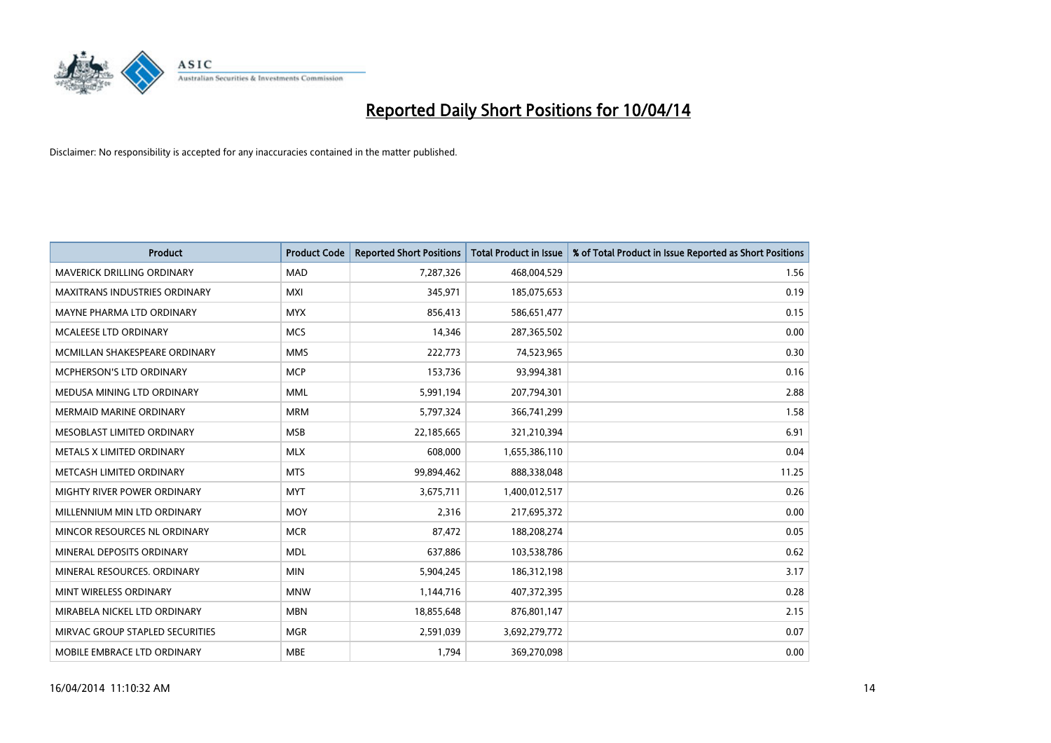

| <b>Product</b>                       | <b>Product Code</b> | <b>Reported Short Positions</b> | <b>Total Product in Issue</b> | % of Total Product in Issue Reported as Short Positions |
|--------------------------------------|---------------------|---------------------------------|-------------------------------|---------------------------------------------------------|
| <b>MAVERICK DRILLING ORDINARY</b>    | <b>MAD</b>          | 7,287,326                       | 468,004,529                   | 1.56                                                    |
| <b>MAXITRANS INDUSTRIES ORDINARY</b> | <b>MXI</b>          | 345,971                         | 185,075,653                   | 0.19                                                    |
| MAYNE PHARMA LTD ORDINARY            | <b>MYX</b>          | 856,413                         | 586,651,477                   | 0.15                                                    |
| MCALEESE LTD ORDINARY                | <b>MCS</b>          | 14,346                          | 287,365,502                   | 0.00                                                    |
| MCMILLAN SHAKESPEARE ORDINARY        | <b>MMS</b>          | 222,773                         | 74,523,965                    | 0.30                                                    |
| MCPHERSON'S LTD ORDINARY             | <b>MCP</b>          | 153,736                         | 93,994,381                    | 0.16                                                    |
| MEDUSA MINING LTD ORDINARY           | <b>MML</b>          | 5,991,194                       | 207,794,301                   | 2.88                                                    |
| <b>MERMAID MARINE ORDINARY</b>       | <b>MRM</b>          | 5,797,324                       | 366,741,299                   | 1.58                                                    |
| MESOBLAST LIMITED ORDINARY           | <b>MSB</b>          | 22,185,665                      | 321,210,394                   | 6.91                                                    |
| METALS X LIMITED ORDINARY            | <b>MLX</b>          | 608,000                         | 1,655,386,110                 | 0.04                                                    |
| METCASH LIMITED ORDINARY             | <b>MTS</b>          | 99,894,462                      | 888,338,048                   | 11.25                                                   |
| MIGHTY RIVER POWER ORDINARY          | <b>MYT</b>          | 3,675,711                       | 1,400,012,517                 | 0.26                                                    |
| MILLENNIUM MIN LTD ORDINARY          | <b>MOY</b>          | 2,316                           | 217,695,372                   | 0.00                                                    |
| MINCOR RESOURCES NL ORDINARY         | <b>MCR</b>          | 87,472                          | 188,208,274                   | 0.05                                                    |
| MINERAL DEPOSITS ORDINARY            | <b>MDL</b>          | 637,886                         | 103,538,786                   | 0.62                                                    |
| MINERAL RESOURCES. ORDINARY          | <b>MIN</b>          | 5,904,245                       | 186,312,198                   | 3.17                                                    |
| MINT WIRELESS ORDINARY               | <b>MNW</b>          | 1,144,716                       | 407,372,395                   | 0.28                                                    |
| MIRABELA NICKEL LTD ORDINARY         | <b>MBN</b>          | 18,855,648                      | 876,801,147                   | 2.15                                                    |
| MIRVAC GROUP STAPLED SECURITIES      | <b>MGR</b>          | 2,591,039                       | 3,692,279,772                 | 0.07                                                    |
| MOBILE EMBRACE LTD ORDINARY          | <b>MBE</b>          | 1,794                           | 369,270,098                   | 0.00                                                    |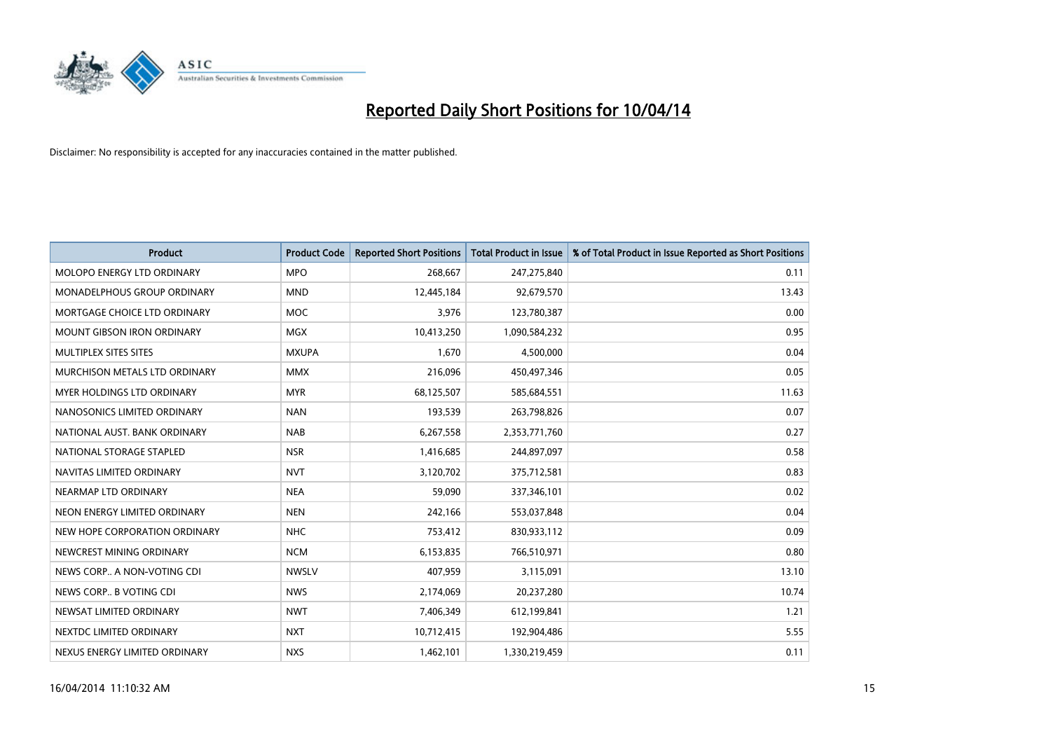

| <b>Product</b>                    | <b>Product Code</b> | <b>Reported Short Positions</b> | <b>Total Product in Issue</b> | % of Total Product in Issue Reported as Short Positions |
|-----------------------------------|---------------------|---------------------------------|-------------------------------|---------------------------------------------------------|
| MOLOPO ENERGY LTD ORDINARY        | <b>MPO</b>          | 268,667                         | 247,275,840                   | 0.11                                                    |
| MONADELPHOUS GROUP ORDINARY       | <b>MND</b>          | 12,445,184                      | 92,679,570                    | 13.43                                                   |
| MORTGAGE CHOICE LTD ORDINARY      | MOC                 | 3,976                           | 123,780,387                   | 0.00                                                    |
| <b>MOUNT GIBSON IRON ORDINARY</b> | <b>MGX</b>          | 10,413,250                      | 1,090,584,232                 | 0.95                                                    |
| MULTIPLEX SITES SITES             | <b>MXUPA</b>        | 1,670                           | 4,500,000                     | 0.04                                                    |
| MURCHISON METALS LTD ORDINARY     | <b>MMX</b>          | 216,096                         | 450,497,346                   | 0.05                                                    |
| MYER HOLDINGS LTD ORDINARY        | <b>MYR</b>          | 68,125,507                      | 585,684,551                   | 11.63                                                   |
| NANOSONICS LIMITED ORDINARY       | <b>NAN</b>          | 193,539                         | 263,798,826                   | 0.07                                                    |
| NATIONAL AUST, BANK ORDINARY      | <b>NAB</b>          | 6,267,558                       | 2,353,771,760                 | 0.27                                                    |
| NATIONAL STORAGE STAPLED          | <b>NSR</b>          | 1,416,685                       | 244,897,097                   | 0.58                                                    |
| NAVITAS LIMITED ORDINARY          | <b>NVT</b>          | 3,120,702                       | 375,712,581                   | 0.83                                                    |
| NEARMAP LTD ORDINARY              | <b>NEA</b>          | 59,090                          | 337,346,101                   | 0.02                                                    |
| NEON ENERGY LIMITED ORDINARY      | <b>NEN</b>          | 242,166                         | 553,037,848                   | 0.04                                                    |
| NEW HOPE CORPORATION ORDINARY     | <b>NHC</b>          | 753,412                         | 830,933,112                   | 0.09                                                    |
| NEWCREST MINING ORDINARY          | <b>NCM</b>          | 6,153,835                       | 766,510,971                   | 0.80                                                    |
| NEWS CORP A NON-VOTING CDI        | <b>NWSLV</b>        | 407,959                         | 3,115,091                     | 13.10                                                   |
| NEWS CORP B VOTING CDI            | <b>NWS</b>          | 2,174,069                       | 20,237,280                    | 10.74                                                   |
| NEWSAT LIMITED ORDINARY           | <b>NWT</b>          | 7,406,349                       | 612,199,841                   | 1.21                                                    |
| NEXTDC LIMITED ORDINARY           | <b>NXT</b>          | 10,712,415                      | 192,904,486                   | 5.55                                                    |
| NEXUS ENERGY LIMITED ORDINARY     | <b>NXS</b>          | 1,462,101                       | 1,330,219,459                 | 0.11                                                    |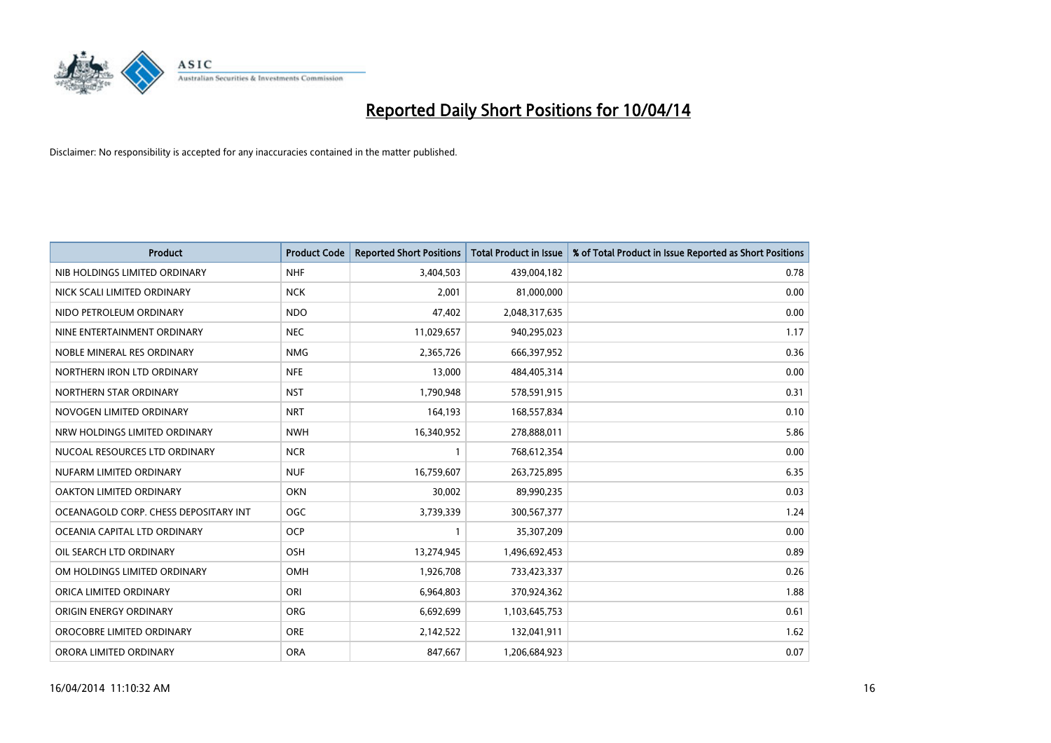

| <b>Product</b>                        | <b>Product Code</b> | <b>Reported Short Positions</b> | <b>Total Product in Issue</b> | % of Total Product in Issue Reported as Short Positions |
|---------------------------------------|---------------------|---------------------------------|-------------------------------|---------------------------------------------------------|
| NIB HOLDINGS LIMITED ORDINARY         | <b>NHF</b>          | 3,404,503                       | 439,004,182                   | 0.78                                                    |
| NICK SCALI LIMITED ORDINARY           | <b>NCK</b>          | 2,001                           | 81,000,000                    | 0.00                                                    |
| NIDO PETROLEUM ORDINARY               | <b>NDO</b>          | 47,402                          | 2,048,317,635                 | 0.00                                                    |
| NINE ENTERTAINMENT ORDINARY           | <b>NEC</b>          | 11,029,657                      | 940,295,023                   | 1.17                                                    |
| NOBLE MINERAL RES ORDINARY            | <b>NMG</b>          | 2,365,726                       | 666,397,952                   | 0.36                                                    |
| NORTHERN IRON LTD ORDINARY            | <b>NFE</b>          | 13,000                          | 484,405,314                   | 0.00                                                    |
| NORTHERN STAR ORDINARY                | <b>NST</b>          | 1,790,948                       | 578,591,915                   | 0.31                                                    |
| NOVOGEN LIMITED ORDINARY              | <b>NRT</b>          | 164,193                         | 168,557,834                   | 0.10                                                    |
| NRW HOLDINGS LIMITED ORDINARY         | <b>NWH</b>          | 16,340,952                      | 278,888,011                   | 5.86                                                    |
| NUCOAL RESOURCES LTD ORDINARY         | <b>NCR</b>          | $\mathbf{1}$                    | 768,612,354                   | 0.00                                                    |
| NUFARM LIMITED ORDINARY               | <b>NUF</b>          | 16,759,607                      | 263,725,895                   | 6.35                                                    |
| OAKTON LIMITED ORDINARY               | <b>OKN</b>          | 30,002                          | 89,990,235                    | 0.03                                                    |
| OCEANAGOLD CORP. CHESS DEPOSITARY INT | <b>OGC</b>          | 3,739,339                       | 300,567,377                   | 1.24                                                    |
| OCEANIA CAPITAL LTD ORDINARY          | <b>OCP</b>          | $\mathbf{1}$                    | 35,307,209                    | 0.00                                                    |
| OIL SEARCH LTD ORDINARY               | OSH                 | 13,274,945                      | 1,496,692,453                 | 0.89                                                    |
| OM HOLDINGS LIMITED ORDINARY          | OMH                 | 1,926,708                       | 733,423,337                   | 0.26                                                    |
| ORICA LIMITED ORDINARY                | ORI                 | 6,964,803                       | 370,924,362                   | 1.88                                                    |
| ORIGIN ENERGY ORDINARY                | <b>ORG</b>          | 6,692,699                       | 1,103,645,753                 | 0.61                                                    |
| OROCOBRE LIMITED ORDINARY             | <b>ORE</b>          | 2,142,522                       | 132,041,911                   | 1.62                                                    |
| ORORA LIMITED ORDINARY                | <b>ORA</b>          | 847,667                         | 1,206,684,923                 | 0.07                                                    |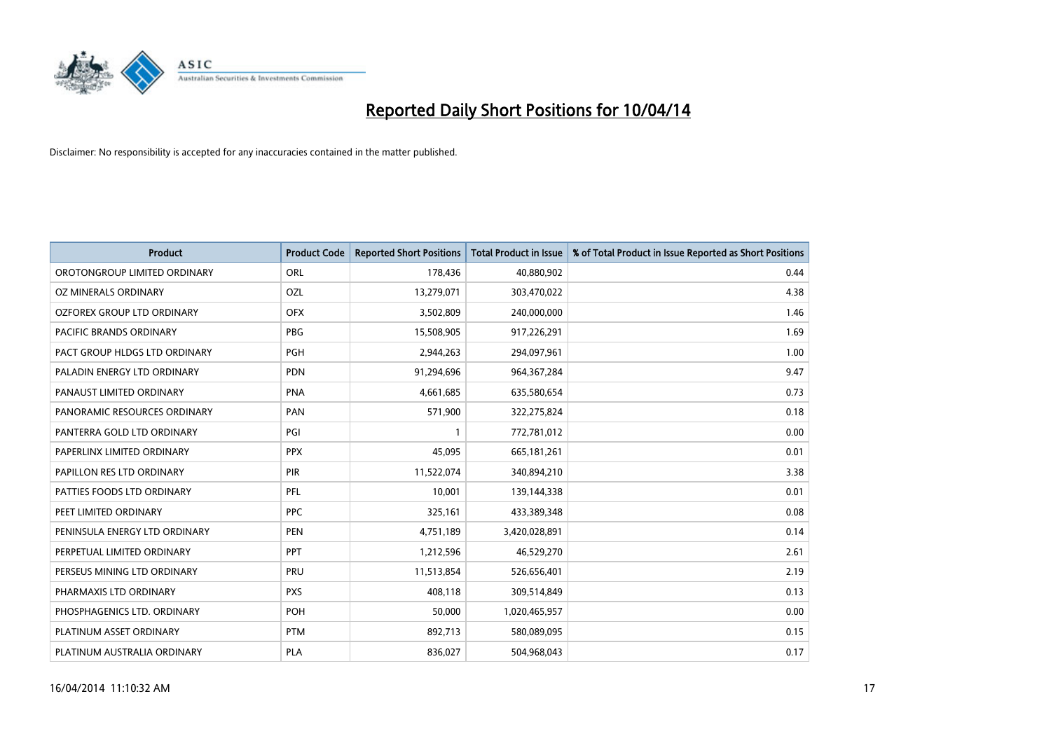

| <b>Product</b>                | <b>Product Code</b> | <b>Reported Short Positions</b> | <b>Total Product in Issue</b> | % of Total Product in Issue Reported as Short Positions |
|-------------------------------|---------------------|---------------------------------|-------------------------------|---------------------------------------------------------|
| OROTONGROUP LIMITED ORDINARY  | ORL                 | 178,436                         | 40,880,902                    | 0.44                                                    |
| OZ MINERALS ORDINARY          | OZL                 | 13,279,071                      | 303,470,022                   | 4.38                                                    |
| OZFOREX GROUP LTD ORDINARY    | <b>OFX</b>          | 3,502,809                       | 240,000,000                   | 1.46                                                    |
| PACIFIC BRANDS ORDINARY       | <b>PBG</b>          | 15,508,905                      | 917,226,291                   | 1.69                                                    |
| PACT GROUP HLDGS LTD ORDINARY | PGH                 | 2,944,263                       | 294,097,961                   | 1.00                                                    |
| PALADIN ENERGY LTD ORDINARY   | <b>PDN</b>          | 91,294,696                      | 964, 367, 284                 | 9.47                                                    |
| PANAUST LIMITED ORDINARY      | <b>PNA</b>          | 4,661,685                       | 635,580,654                   | 0.73                                                    |
| PANORAMIC RESOURCES ORDINARY  | PAN                 | 571,900                         | 322,275,824                   | 0.18                                                    |
| PANTERRA GOLD LTD ORDINARY    | PGI                 | 1                               | 772,781,012                   | 0.00                                                    |
| PAPERLINX LIMITED ORDINARY    | <b>PPX</b>          | 45,095                          | 665,181,261                   | 0.01                                                    |
| PAPILLON RES LTD ORDINARY     | PIR                 | 11,522,074                      | 340,894,210                   | 3.38                                                    |
| PATTIES FOODS LTD ORDINARY    | PFL                 | 10,001                          | 139,144,338                   | 0.01                                                    |
| PEET LIMITED ORDINARY         | <b>PPC</b>          | 325,161                         | 433,389,348                   | 0.08                                                    |
| PENINSULA ENERGY LTD ORDINARY | <b>PEN</b>          | 4,751,189                       | 3,420,028,891                 | 0.14                                                    |
| PERPETUAL LIMITED ORDINARY    | <b>PPT</b>          | 1,212,596                       | 46,529,270                    | 2.61                                                    |
| PERSEUS MINING LTD ORDINARY   | PRU                 | 11,513,854                      | 526,656,401                   | 2.19                                                    |
| PHARMAXIS LTD ORDINARY        | <b>PXS</b>          | 408,118                         | 309,514,849                   | 0.13                                                    |
| PHOSPHAGENICS LTD. ORDINARY   | <b>POH</b>          | 50,000                          | 1,020,465,957                 | 0.00                                                    |
| PLATINUM ASSET ORDINARY       | <b>PTM</b>          | 892,713                         | 580,089,095                   | 0.15                                                    |
| PLATINUM AUSTRALIA ORDINARY   | <b>PLA</b>          | 836,027                         | 504,968,043                   | 0.17                                                    |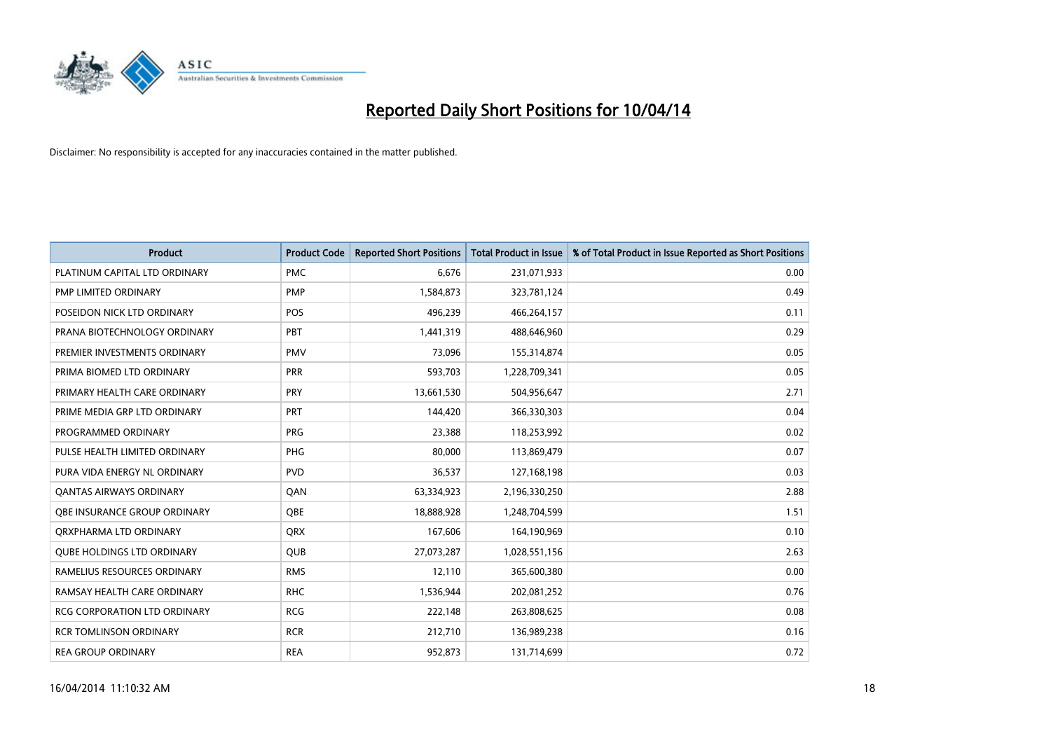

| <b>Product</b>                    | <b>Product Code</b> | <b>Reported Short Positions</b> | <b>Total Product in Issue</b> | % of Total Product in Issue Reported as Short Positions |
|-----------------------------------|---------------------|---------------------------------|-------------------------------|---------------------------------------------------------|
| PLATINUM CAPITAL LTD ORDINARY     | <b>PMC</b>          | 6,676                           | 231,071,933                   | 0.00                                                    |
| PMP LIMITED ORDINARY              | <b>PMP</b>          | 1,584,873                       | 323,781,124                   | 0.49                                                    |
| POSEIDON NICK LTD ORDINARY        | <b>POS</b>          | 496,239                         | 466,264,157                   | 0.11                                                    |
| PRANA BIOTECHNOLOGY ORDINARY      | <b>PBT</b>          | 1,441,319                       | 488,646,960                   | 0.29                                                    |
| PREMIER INVESTMENTS ORDINARY      | <b>PMV</b>          | 73,096                          | 155,314,874                   | 0.05                                                    |
| PRIMA BIOMED LTD ORDINARY         | PRR                 | 593,703                         | 1,228,709,341                 | 0.05                                                    |
| PRIMARY HEALTH CARE ORDINARY      | <b>PRY</b>          | 13,661,530                      | 504,956,647                   | 2.71                                                    |
| PRIME MEDIA GRP LTD ORDINARY      | <b>PRT</b>          | 144.420                         | 366,330,303                   | 0.04                                                    |
| PROGRAMMED ORDINARY               | <b>PRG</b>          | 23,388                          | 118,253,992                   | 0.02                                                    |
| PULSE HEALTH LIMITED ORDINARY     | PHG                 | 80,000                          | 113,869,479                   | 0.07                                                    |
| PURA VIDA ENERGY NL ORDINARY      | <b>PVD</b>          | 36,537                          | 127,168,198                   | 0.03                                                    |
| <b>QANTAS AIRWAYS ORDINARY</b>    | QAN                 | 63,334,923                      | 2,196,330,250                 | 2.88                                                    |
| OBE INSURANCE GROUP ORDINARY      | <b>OBE</b>          | 18,888,928                      | 1,248,704,599                 | 1.51                                                    |
| ORXPHARMA LTD ORDINARY            | <b>QRX</b>          | 167,606                         | 164,190,969                   | 0.10                                                    |
| <b>OUBE HOLDINGS LTD ORDINARY</b> | <b>QUB</b>          | 27,073,287                      | 1,028,551,156                 | 2.63                                                    |
| RAMELIUS RESOURCES ORDINARY       | <b>RMS</b>          | 12,110                          | 365,600,380                   | 0.00                                                    |
| RAMSAY HEALTH CARE ORDINARY       | <b>RHC</b>          | 1,536,944                       | 202,081,252                   | 0.76                                                    |
| RCG CORPORATION LTD ORDINARY      | <b>RCG</b>          | 222,148                         | 263,808,625                   | 0.08                                                    |
| <b>RCR TOMLINSON ORDINARY</b>     | <b>RCR</b>          | 212,710                         | 136,989,238                   | 0.16                                                    |
| <b>REA GROUP ORDINARY</b>         | <b>REA</b>          | 952,873                         | 131,714,699                   | 0.72                                                    |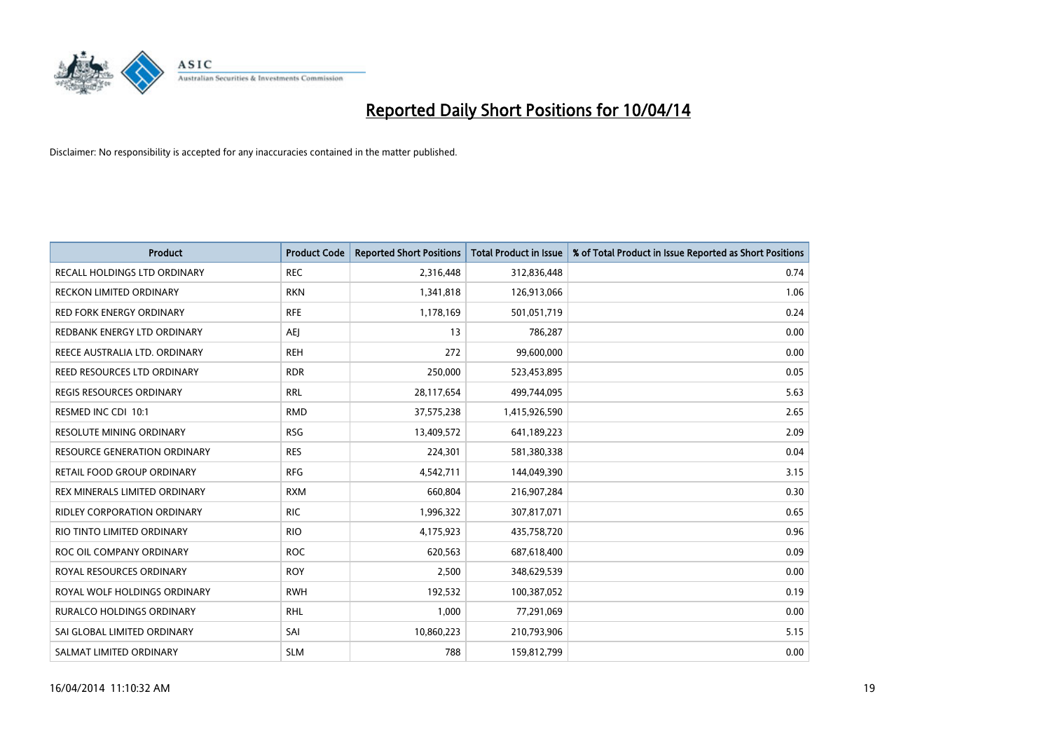

| <b>Product</b>                      | <b>Product Code</b> | <b>Reported Short Positions</b> | <b>Total Product in Issue</b> | % of Total Product in Issue Reported as Short Positions |
|-------------------------------------|---------------------|---------------------------------|-------------------------------|---------------------------------------------------------|
| <b>RECALL HOLDINGS LTD ORDINARY</b> | <b>REC</b>          | 2,316,448                       | 312,836,448                   | 0.74                                                    |
| RECKON LIMITED ORDINARY             | <b>RKN</b>          | 1,341,818                       | 126,913,066                   | 1.06                                                    |
| <b>RED FORK ENERGY ORDINARY</b>     | <b>RFE</b>          | 1,178,169                       | 501,051,719                   | 0.24                                                    |
| REDBANK ENERGY LTD ORDINARY         | AEJ                 | 13                              | 786,287                       | 0.00                                                    |
| REECE AUSTRALIA LTD. ORDINARY       | <b>REH</b>          | 272                             | 99,600,000                    | 0.00                                                    |
| <b>REED RESOURCES LTD ORDINARY</b>  | <b>RDR</b>          | 250,000                         | 523,453,895                   | 0.05                                                    |
| REGIS RESOURCES ORDINARY            | <b>RRL</b>          | 28,117,654                      | 499,744,095                   | 5.63                                                    |
| RESMED INC CDI 10:1                 | <b>RMD</b>          | 37,575,238                      | 1,415,926,590                 | 2.65                                                    |
| <b>RESOLUTE MINING ORDINARY</b>     | <b>RSG</b>          | 13,409,572                      | 641,189,223                   | 2.09                                                    |
| <b>RESOURCE GENERATION ORDINARY</b> | <b>RES</b>          | 224,301                         | 581,380,338                   | 0.04                                                    |
| RETAIL FOOD GROUP ORDINARY          | <b>RFG</b>          | 4,542,711                       | 144,049,390                   | 3.15                                                    |
| REX MINERALS LIMITED ORDINARY       | <b>RXM</b>          | 660,804                         | 216,907,284                   | 0.30                                                    |
| RIDLEY CORPORATION ORDINARY         | <b>RIC</b>          | 1,996,322                       | 307,817,071                   | 0.65                                                    |
| RIO TINTO LIMITED ORDINARY          | <b>RIO</b>          | 4,175,923                       | 435,758,720                   | 0.96                                                    |
| ROC OIL COMPANY ORDINARY            | <b>ROC</b>          | 620,563                         | 687,618,400                   | 0.09                                                    |
| ROYAL RESOURCES ORDINARY            | <b>ROY</b>          | 2,500                           | 348,629,539                   | 0.00                                                    |
| ROYAL WOLF HOLDINGS ORDINARY        | <b>RWH</b>          | 192,532                         | 100,387,052                   | 0.19                                                    |
| RURALCO HOLDINGS ORDINARY           | <b>RHL</b>          | 1,000                           | 77,291,069                    | 0.00                                                    |
| SAI GLOBAL LIMITED ORDINARY         | SAI                 | 10,860,223                      | 210,793,906                   | 5.15                                                    |
| SALMAT LIMITED ORDINARY             | <b>SLM</b>          | 788                             | 159,812,799                   | 0.00                                                    |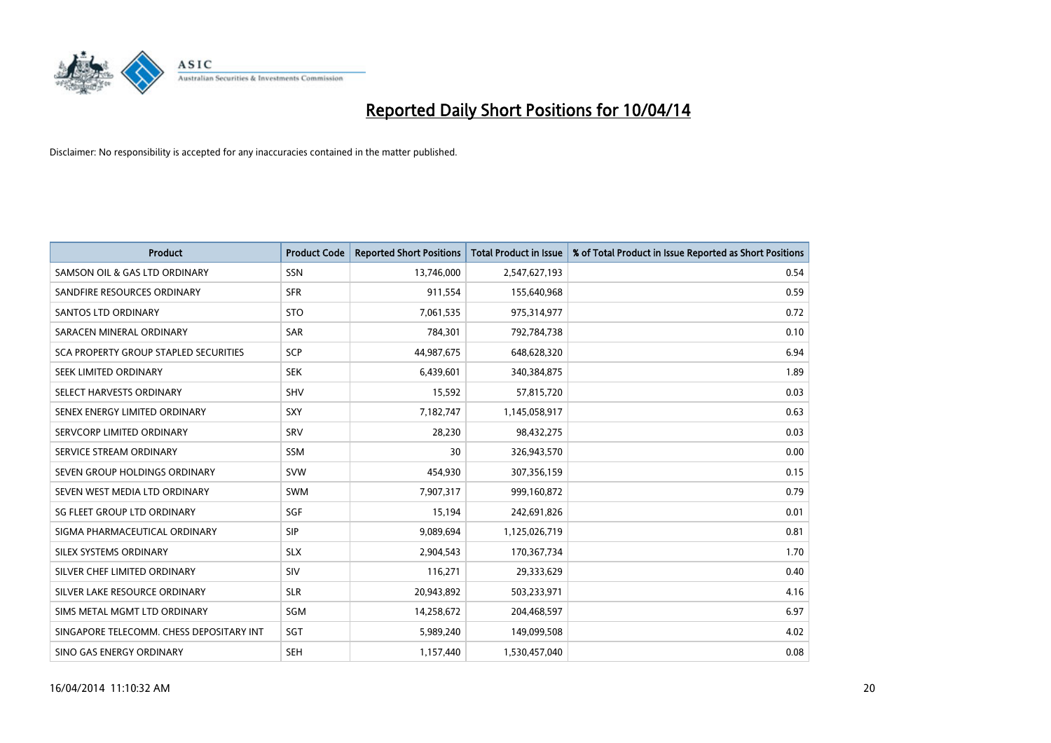

| <b>Product</b>                               | <b>Product Code</b> | <b>Reported Short Positions</b> | <b>Total Product in Issue</b> | % of Total Product in Issue Reported as Short Positions |
|----------------------------------------------|---------------------|---------------------------------|-------------------------------|---------------------------------------------------------|
| SAMSON OIL & GAS LTD ORDINARY                | SSN                 | 13,746,000                      | 2,547,627,193                 | 0.54                                                    |
| SANDFIRE RESOURCES ORDINARY                  | <b>SFR</b>          | 911,554                         | 155,640,968                   | 0.59                                                    |
| <b>SANTOS LTD ORDINARY</b>                   | <b>STO</b>          | 7,061,535                       | 975,314,977                   | 0.72                                                    |
| SARACEN MINERAL ORDINARY                     | SAR                 | 784,301                         | 792,784,738                   | 0.10                                                    |
| <b>SCA PROPERTY GROUP STAPLED SECURITIES</b> | SCP                 | 44,987,675                      | 648,628,320                   | 6.94                                                    |
| SEEK LIMITED ORDINARY                        | <b>SEK</b>          | 6,439,601                       | 340,384,875                   | 1.89                                                    |
| SELECT HARVESTS ORDINARY                     | SHV                 | 15,592                          | 57,815,720                    | 0.03                                                    |
| SENEX ENERGY LIMITED ORDINARY                | <b>SXY</b>          | 7,182,747                       | 1,145,058,917                 | 0.63                                                    |
| SERVCORP LIMITED ORDINARY                    | SRV                 | 28,230                          | 98,432,275                    | 0.03                                                    |
| SERVICE STREAM ORDINARY                      | <b>SSM</b>          | 30                              | 326,943,570                   | 0.00                                                    |
| SEVEN GROUP HOLDINGS ORDINARY                | <b>SVW</b>          | 454,930                         | 307,356,159                   | 0.15                                                    |
| SEVEN WEST MEDIA LTD ORDINARY                | <b>SWM</b>          | 7,907,317                       | 999,160,872                   | 0.79                                                    |
| SG FLEET GROUP LTD ORDINARY                  | SGF                 | 15,194                          | 242,691,826                   | 0.01                                                    |
| SIGMA PHARMACEUTICAL ORDINARY                | <b>SIP</b>          | 9,089,694                       | 1,125,026,719                 | 0.81                                                    |
| SILEX SYSTEMS ORDINARY                       | <b>SLX</b>          | 2,904,543                       | 170,367,734                   | 1.70                                                    |
| SILVER CHEF LIMITED ORDINARY                 | <b>SIV</b>          | 116,271                         | 29,333,629                    | 0.40                                                    |
| SILVER LAKE RESOURCE ORDINARY                | <b>SLR</b>          | 20,943,892                      | 503,233,971                   | 4.16                                                    |
| SIMS METAL MGMT LTD ORDINARY                 | SGM                 | 14,258,672                      | 204,468,597                   | 6.97                                                    |
| SINGAPORE TELECOMM. CHESS DEPOSITARY INT     | SGT                 | 5,989,240                       | 149,099,508                   | 4.02                                                    |
| SINO GAS ENERGY ORDINARY                     | <b>SEH</b>          | 1,157,440                       | 1,530,457,040                 | 0.08                                                    |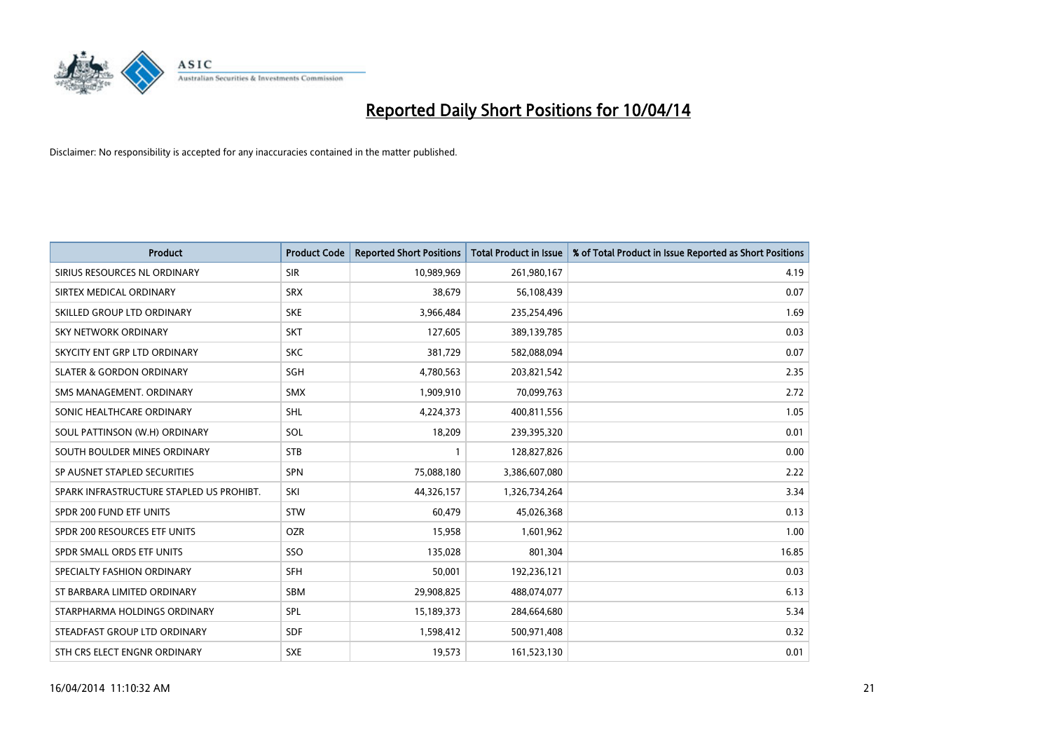

| <b>Product</b>                           | <b>Product Code</b> | <b>Reported Short Positions</b> | <b>Total Product in Issue</b> | % of Total Product in Issue Reported as Short Positions |
|------------------------------------------|---------------------|---------------------------------|-------------------------------|---------------------------------------------------------|
| SIRIUS RESOURCES NL ORDINARY             | <b>SIR</b>          | 10,989,969                      | 261,980,167                   | 4.19                                                    |
| SIRTEX MEDICAL ORDINARY                  | <b>SRX</b>          | 38,679                          | 56,108,439                    | 0.07                                                    |
| SKILLED GROUP LTD ORDINARY               | <b>SKE</b>          | 3,966,484                       | 235,254,496                   | 1.69                                                    |
| SKY NETWORK ORDINARY                     | <b>SKT</b>          | 127,605                         | 389,139,785                   | 0.03                                                    |
| SKYCITY ENT GRP LTD ORDINARY             | <b>SKC</b>          | 381,729                         | 582,088,094                   | 0.07                                                    |
| <b>SLATER &amp; GORDON ORDINARY</b>      | <b>SGH</b>          | 4,780,563                       | 203,821,542                   | 2.35                                                    |
| SMS MANAGEMENT, ORDINARY                 | <b>SMX</b>          | 1,909,910                       | 70,099,763                    | 2.72                                                    |
| SONIC HEALTHCARE ORDINARY                | <b>SHL</b>          | 4,224,373                       | 400,811,556                   | 1.05                                                    |
| SOUL PATTINSON (W.H) ORDINARY            | <b>SOL</b>          | 18,209                          | 239,395,320                   | 0.01                                                    |
| SOUTH BOULDER MINES ORDINARY             | <b>STB</b>          | $\mathbf{1}$                    | 128,827,826                   | 0.00                                                    |
| SP AUSNET STAPLED SECURITIES             | <b>SPN</b>          | 75,088,180                      | 3,386,607,080                 | 2.22                                                    |
| SPARK INFRASTRUCTURE STAPLED US PROHIBT. | SKI                 | 44,326,157                      | 1,326,734,264                 | 3.34                                                    |
| SPDR 200 FUND ETF UNITS                  | STW                 | 60,479                          | 45,026,368                    | 0.13                                                    |
| SPDR 200 RESOURCES ETF UNITS             | <b>OZR</b>          | 15,958                          | 1,601,962                     | 1.00                                                    |
| SPDR SMALL ORDS ETF UNITS                | SSO                 | 135,028                         | 801,304                       | 16.85                                                   |
| SPECIALTY FASHION ORDINARY               | <b>SFH</b>          | 50,001                          | 192,236,121                   | 0.03                                                    |
| ST BARBARA LIMITED ORDINARY              | SBM                 | 29,908,825                      | 488,074,077                   | 6.13                                                    |
| STARPHARMA HOLDINGS ORDINARY             | <b>SPL</b>          | 15,189,373                      | 284,664,680                   | 5.34                                                    |
| STEADFAST GROUP LTD ORDINARY             | <b>SDF</b>          | 1,598,412                       | 500,971,408                   | 0.32                                                    |
| STH CRS ELECT ENGNR ORDINARY             | <b>SXE</b>          | 19,573                          | 161,523,130                   | 0.01                                                    |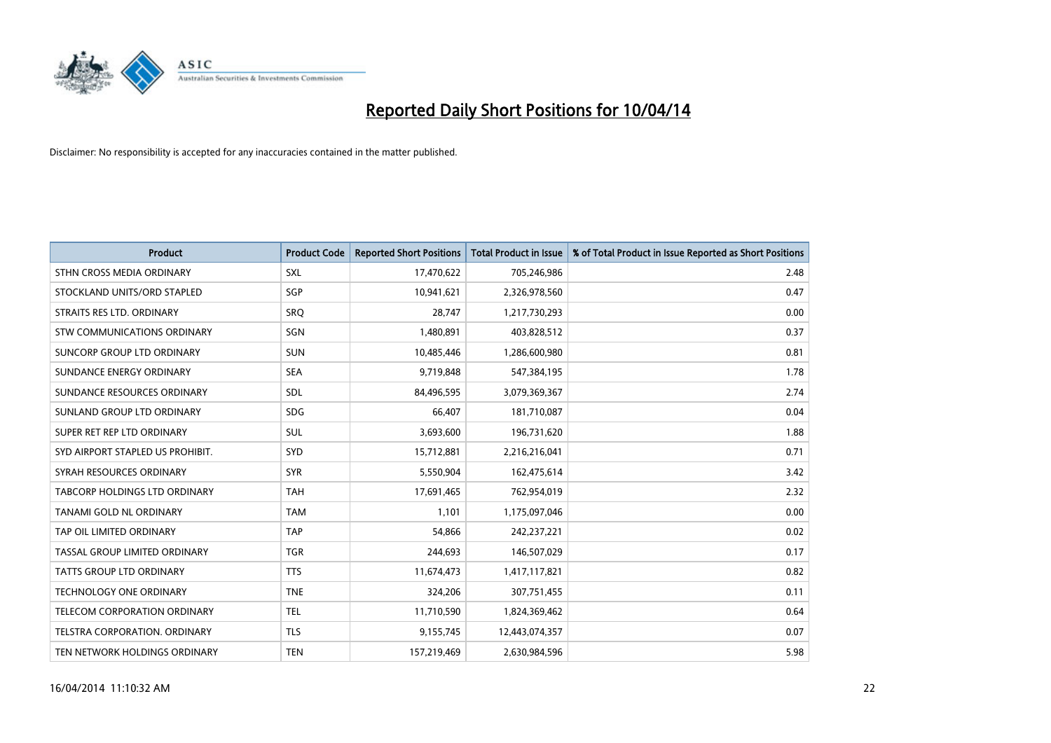

| <b>Product</b>                    | <b>Product Code</b> | <b>Reported Short Positions</b> | <b>Total Product in Issue</b> | % of Total Product in Issue Reported as Short Positions |
|-----------------------------------|---------------------|---------------------------------|-------------------------------|---------------------------------------------------------|
| STHN CROSS MEDIA ORDINARY         | <b>SXL</b>          | 17,470,622                      | 705,246,986                   | 2.48                                                    |
| STOCKLAND UNITS/ORD STAPLED       | <b>SGP</b>          | 10,941,621                      | 2,326,978,560                 | 0.47                                                    |
| STRAITS RES LTD. ORDINARY         | <b>SRQ</b>          | 28,747                          | 1,217,730,293                 | 0.00                                                    |
| STW COMMUNICATIONS ORDINARY       | <b>SGN</b>          | 1,480,891                       | 403,828,512                   | 0.37                                                    |
| <b>SUNCORP GROUP LTD ORDINARY</b> | <b>SUN</b>          | 10,485,446                      | 1,286,600,980                 | 0.81                                                    |
| SUNDANCE ENERGY ORDINARY          | <b>SEA</b>          | 9,719,848                       | 547,384,195                   | 1.78                                                    |
| SUNDANCE RESOURCES ORDINARY       | <b>SDL</b>          | 84,496,595                      | 3,079,369,367                 | 2.74                                                    |
| SUNLAND GROUP LTD ORDINARY        | <b>SDG</b>          | 66,407                          | 181,710,087                   | 0.04                                                    |
| SUPER RET REP LTD ORDINARY        | <b>SUL</b>          | 3,693,600                       | 196,731,620                   | 1.88                                                    |
| SYD AIRPORT STAPLED US PROHIBIT.  | SYD                 | 15,712,881                      | 2,216,216,041                 | 0.71                                                    |
| SYRAH RESOURCES ORDINARY          | <b>SYR</b>          | 5,550,904                       | 162,475,614                   | 3.42                                                    |
| TABCORP HOLDINGS LTD ORDINARY     | <b>TAH</b>          | 17,691,465                      | 762,954,019                   | 2.32                                                    |
| TANAMI GOLD NL ORDINARY           | <b>TAM</b>          | 1,101                           | 1,175,097,046                 | 0.00                                                    |
| TAP OIL LIMITED ORDINARY          | <b>TAP</b>          | 54.866                          | 242,237,221                   | 0.02                                                    |
| TASSAL GROUP LIMITED ORDINARY     | <b>TGR</b>          | 244,693                         | 146,507,029                   | 0.17                                                    |
| <b>TATTS GROUP LTD ORDINARY</b>   | <b>TTS</b>          | 11,674,473                      | 1,417,117,821                 | 0.82                                                    |
| <b>TECHNOLOGY ONE ORDINARY</b>    | <b>TNE</b>          | 324,206                         | 307,751,455                   | 0.11                                                    |
| TELECOM CORPORATION ORDINARY      | <b>TEL</b>          | 11,710,590                      | 1,824,369,462                 | 0.64                                                    |
| TELSTRA CORPORATION, ORDINARY     | <b>TLS</b>          | 9,155,745                       | 12,443,074,357                | 0.07                                                    |
| TEN NETWORK HOLDINGS ORDINARY     | <b>TEN</b>          | 157,219,469                     | 2,630,984,596                 | 5.98                                                    |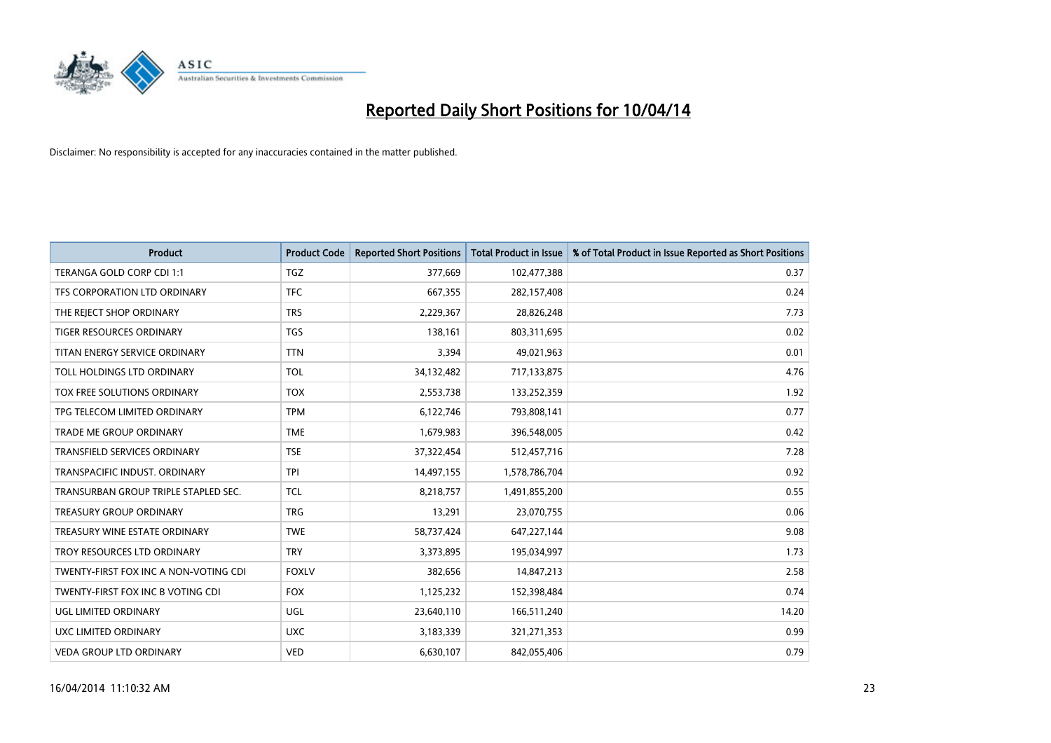

| <b>Product</b>                        | <b>Product Code</b> | <b>Reported Short Positions</b> | <b>Total Product in Issue</b> | % of Total Product in Issue Reported as Short Positions |
|---------------------------------------|---------------------|---------------------------------|-------------------------------|---------------------------------------------------------|
| TERANGA GOLD CORP CDI 1:1             | <b>TGZ</b>          | 377,669                         | 102,477,388                   | 0.37                                                    |
| TFS CORPORATION LTD ORDINARY          | <b>TFC</b>          | 667,355                         | 282,157,408                   | 0.24                                                    |
| THE REJECT SHOP ORDINARY              | <b>TRS</b>          | 2,229,367                       | 28,826,248                    | 7.73                                                    |
| TIGER RESOURCES ORDINARY              | <b>TGS</b>          | 138,161                         | 803,311,695                   | 0.02                                                    |
| TITAN ENERGY SERVICE ORDINARY         | <b>TTN</b>          | 3,394                           | 49,021,963                    | 0.01                                                    |
| TOLL HOLDINGS LTD ORDINARY            | <b>TOL</b>          | 34,132,482                      | 717,133,875                   | 4.76                                                    |
| <b>TOX FREE SOLUTIONS ORDINARY</b>    | <b>TOX</b>          | 2,553,738                       | 133,252,359                   | 1.92                                                    |
| TPG TELECOM LIMITED ORDINARY          | <b>TPM</b>          | 6,122,746                       | 793,808,141                   | 0.77                                                    |
| TRADE ME GROUP ORDINARY               | <b>TME</b>          | 1,679,983                       | 396,548,005                   | 0.42                                                    |
| <b>TRANSFIELD SERVICES ORDINARY</b>   | <b>TSE</b>          | 37,322,454                      | 512,457,716                   | 7.28                                                    |
| TRANSPACIFIC INDUST. ORDINARY         | <b>TPI</b>          | 14,497,155                      | 1,578,786,704                 | 0.92                                                    |
| TRANSURBAN GROUP TRIPLE STAPLED SEC.  | <b>TCL</b>          | 8,218,757                       | 1,491,855,200                 | 0.55                                                    |
| TREASURY GROUP ORDINARY               | <b>TRG</b>          | 13,291                          | 23,070,755                    | 0.06                                                    |
| TREASURY WINE ESTATE ORDINARY         | <b>TWE</b>          | 58,737,424                      | 647,227,144                   | 9.08                                                    |
| TROY RESOURCES LTD ORDINARY           | <b>TRY</b>          | 3,373,895                       | 195,034,997                   | 1.73                                                    |
| TWENTY-FIRST FOX INC A NON-VOTING CDI | <b>FOXLV</b>        | 382,656                         | 14,847,213                    | 2.58                                                    |
| TWENTY-FIRST FOX INC B VOTING CDI     | <b>FOX</b>          | 1,125,232                       | 152,398,484                   | 0.74                                                    |
| UGL LIMITED ORDINARY                  | UGL                 | 23,640,110                      | 166,511,240                   | 14.20                                                   |
| UXC LIMITED ORDINARY                  | <b>UXC</b>          | 3,183,339                       | 321,271,353                   | 0.99                                                    |
| <b>VEDA GROUP LTD ORDINARY</b>        | <b>VED</b>          | 6,630,107                       | 842,055,406                   | 0.79                                                    |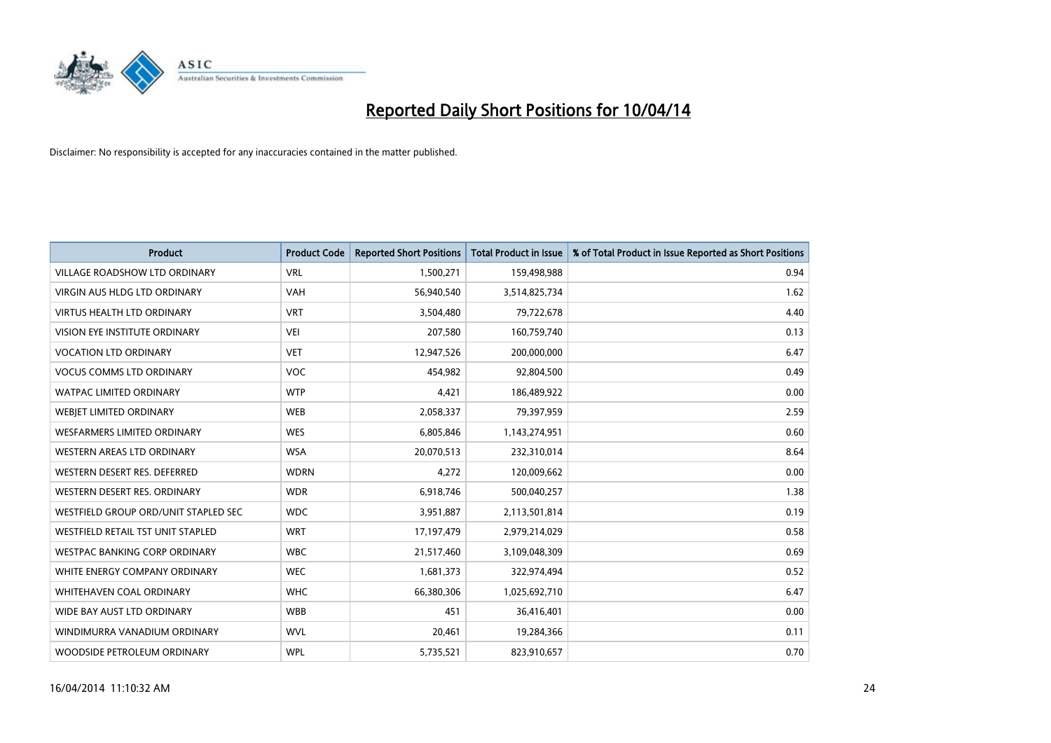

| <b>Product</b>                       | <b>Product Code</b> | <b>Reported Short Positions</b> | <b>Total Product in Issue</b> | % of Total Product in Issue Reported as Short Positions |
|--------------------------------------|---------------------|---------------------------------|-------------------------------|---------------------------------------------------------|
| <b>VILLAGE ROADSHOW LTD ORDINARY</b> | <b>VRL</b>          | 1,500,271                       | 159,498,988                   | 0.94                                                    |
| <b>VIRGIN AUS HLDG LTD ORDINARY</b>  | <b>VAH</b>          | 56,940,540                      | 3,514,825,734                 | 1.62                                                    |
| <b>VIRTUS HEALTH LTD ORDINARY</b>    | <b>VRT</b>          | 3,504,480                       | 79,722,678                    | 4.40                                                    |
| VISION EYE INSTITUTE ORDINARY        | VEI                 | 207,580                         | 160,759,740                   | 0.13                                                    |
| <b>VOCATION LTD ORDINARY</b>         | <b>VET</b>          | 12,947,526                      | 200,000,000                   | 6.47                                                    |
| <b>VOCUS COMMS LTD ORDINARY</b>      | <b>VOC</b>          | 454,982                         | 92,804,500                    | 0.49                                                    |
| <b>WATPAC LIMITED ORDINARY</b>       | <b>WTP</b>          | 4,421                           | 186,489,922                   | 0.00                                                    |
| WEBJET LIMITED ORDINARY              | <b>WEB</b>          | 2,058,337                       | 79,397,959                    | 2.59                                                    |
| <b>WESFARMERS LIMITED ORDINARY</b>   | <b>WES</b>          | 6,805,846                       | 1,143,274,951                 | 0.60                                                    |
| WESTERN AREAS LTD ORDINARY           | <b>WSA</b>          | 20,070,513                      | 232,310,014                   | 8.64                                                    |
| WESTERN DESERT RES. DEFERRED         | <b>WDRN</b>         | 4,272                           | 120,009,662                   | 0.00                                                    |
| WESTERN DESERT RES. ORDINARY         | <b>WDR</b>          | 6,918,746                       | 500,040,257                   | 1.38                                                    |
| WESTFIELD GROUP ORD/UNIT STAPLED SEC | <b>WDC</b>          | 3,951,887                       | 2,113,501,814                 | 0.19                                                    |
| WESTFIELD RETAIL TST UNIT STAPLED    | <b>WRT</b>          | 17,197,479                      | 2,979,214,029                 | 0.58                                                    |
| <b>WESTPAC BANKING CORP ORDINARY</b> | <b>WBC</b>          | 21,517,460                      | 3,109,048,309                 | 0.69                                                    |
| WHITE ENERGY COMPANY ORDINARY        | <b>WEC</b>          | 1,681,373                       | 322,974,494                   | 0.52                                                    |
| WHITEHAVEN COAL ORDINARY             | <b>WHC</b>          | 66,380,306                      | 1,025,692,710                 | 6.47                                                    |
| WIDE BAY AUST LTD ORDINARY           | <b>WBB</b>          | 451                             | 36,416,401                    | 0.00                                                    |
| WINDIMURRA VANADIUM ORDINARY         | <b>WVL</b>          | 20,461                          | 19,284,366                    | 0.11                                                    |
| WOODSIDE PETROLEUM ORDINARY          | <b>WPL</b>          | 5,735,521                       | 823,910,657                   | 0.70                                                    |